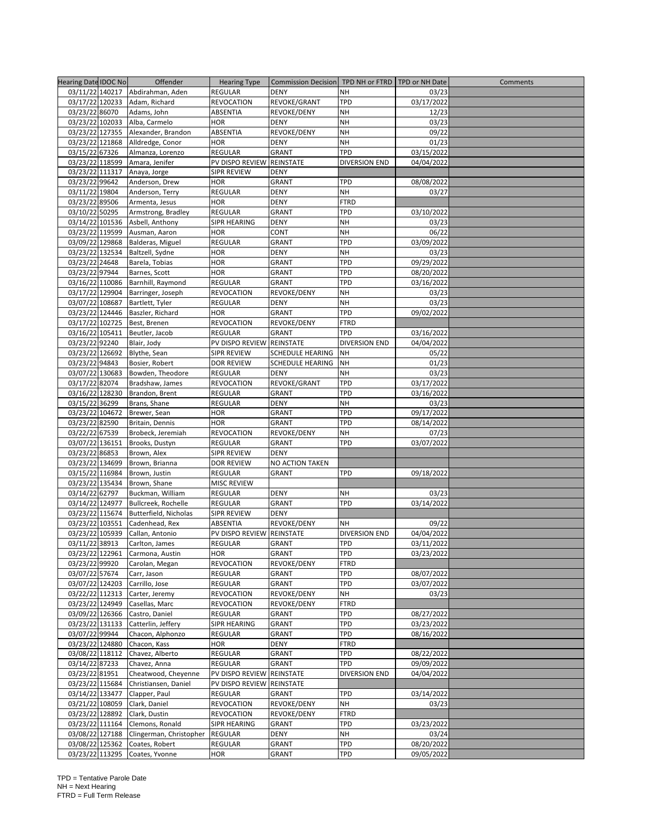| <b>Hearing Date IDOC No</b>       | Offender                         | <b>Hearing Type</b>       | Commission Decision TPD NH or FTRD |                      | TPD or NH Date      | Comments |
|-----------------------------------|----------------------------------|---------------------------|------------------------------------|----------------------|---------------------|----------|
|                                   | 03/11/22 140217 Abdirahman, Aden | <b>REGULAR</b>            | <b>DENY</b>                        | NΗ                   | 03/23               |          |
| 03/17/22 120233                   | Adam, Richard                    | <b>REVOCATION</b>         | REVOKE/GRANT                       | <b>TPD</b>           | 03/17/2022          |          |
| 03/23/22 86070                    | Adams, John                      | ABSENTIA                  | REVOKE/DENY                        | <b>NH</b>            | 12/23               |          |
| 03/23/22 102033                   | Alba, Carmelo                    | <b>HOR</b>                | <b>DENY</b>                        | NH                   | 03/23               |          |
| 03/23/22 127355                   | Alexander, Brandon               | ABSENTIA                  | REVOKE/DENY                        | NΗ                   | 09/22               |          |
| 03/23/22 121868                   | Alldredge, Conor                 | <b>HOR</b>                | <b>DENY</b>                        | NΗ                   | 01/23               |          |
| 03/15/22 67326                    | Almanza, Lorenzo                 | REGULAR                   | GRANT                              | <b>TPD</b>           | 03/15/2022          |          |
| 03/23/22 118599                   | Amara, Jenifer                   | PV DISPO REVIEW           | REINSTATE                          | <b>DIVERSION END</b> | 04/04/2022          |          |
| 03/23/22 111317                   | Anaya, Jorge                     | SIPR REVIEW               | <b>DENY</b>                        |                      |                     |          |
| 03/23/22 99642                    | Anderson, Drew                   | <b>HOR</b>                | GRANT                              | <b>TPD</b>           | 08/08/2022          |          |
| 03/11/22 19804                    | Anderson, Terry                  | <b>REGULAR</b>            | <b>DENY</b>                        | NΗ                   | 03/27               |          |
| 03/23/22 89506                    | Armenta, Jesus                   | <b>HOR</b>                | <b>DENY</b>                        | FTRD                 |                     |          |
| 03/10/22 50295                    | Armstrong, Bradley               | <b>REGULAR</b>            | GRANT                              | TPD                  | 03/10/2022          |          |
| 03/14/22 101536                   | Asbell, Anthony                  | <b>SIPR HEARING</b>       | <b>DENY</b>                        | <b>NH</b>            | 03/23               |          |
| 03/23/22 119599                   | Ausman, Aaron                    | HOR                       | CONT                               | NΗ                   | 06/22               |          |
| 03/09/22 129868                   | Balderas, Miguel                 | REGULAR                   | GRANT                              | <b>TPD</b>           | 03/09/2022          |          |
| 03/23/22 132534                   | Baltzell, Sydne                  | HOR                       | <b>DENY</b>                        | NΗ                   | 03/23               |          |
| 03/23/22 24648                    | Barela, Tobias                   | HOR                       | GRANT                              | <b>TPD</b>           | 09/29/2022          |          |
| 03/23/22 97944                    | Barnes, Scott                    | <b>HOR</b>                | <b>GRANT</b>                       | <b>TPD</b>           | 08/20/2022          |          |
| 03/16/22 110086                   | Barnhill, Raymond                | <b>REGULAR</b>            | GRANT                              | <b>TPD</b>           | 03/16/2022          |          |
| 03/17/22 129904                   | Barringer, Joseph                | <b>REVOCATION</b>         | REVOKE/DENY                        | <b>NH</b>            | 03/23               |          |
| 03/07/22 108687                   | Bartlett, Tyler                  | <b>REGULAR</b>            | <b>DENY</b>                        | <b>NH</b>            | 03/23               |          |
| 03/23/22 124446                   | Baszler, Richard                 | <b>HOR</b>                | GRANT                              | TPD                  | 09/02/2022          |          |
| 03/17/22 102725                   | Best, Brenen                     | <b>REVOCATION</b>         | REVOKE/DENY                        | <b>FTRD</b>          |                     |          |
| 03/16/22 105411                   | Beutler, Jacob                   | <b>REGULAR</b>            | <b>GRANT</b>                       | <b>TPD</b>           | 03/16/2022          |          |
| 03/23/22 92240                    | Blair, Jody                      | PV DISPO REVIEW REINSTATE |                                    | <b>DIVERSION END</b> | 04/04/2022          |          |
| 03/23/22 126692                   | Blythe, Sean                     | <b>SIPR REVIEW</b>        | SCHEDULE HEARING                   | <b>NH</b>            | 05/22               |          |
| 03/23/22 94843                    | Bosier, Robert                   | <b>DOR REVIEW</b>         | <b>SCHEDULE HEARING</b>            | <b>NH</b>            | 01/23               |          |
| 03/07/22 130683                   | Bowden, Theodore                 | REGULAR                   | <b>DENY</b>                        | NΗ                   | 03/23               |          |
| 03/17/22 82074                    | Bradshaw, James                  | <b>REVOCATION</b>         | REVOKE/GRANT                       | TPD                  | 03/17/2022          |          |
| 03/16/22 128230                   | Brandon, Brent                   | REGULAR                   | <b>GRANT</b>                       | <b>TPD</b>           | 03/16/2022          |          |
| 03/15/22 36299<br>03/23/22 104672 | Brans, Shane                     | <b>REGULAR</b><br>HOR     | <b>DENY</b><br>GRANT               | NΗ<br><b>TPD</b>     | 03/23<br>09/17/2022 |          |
| 03/23/22 82590                    | Brewer, Sean<br>Britain, Dennis  | <b>HOR</b>                | GRANT                              | <b>TPD</b>           | 08/14/2022          |          |
| 03/22/22 67539                    | Brobeck, Jeremiah                | <b>REVOCATION</b>         | REVOKE/DENY                        | <b>NH</b>            | 07/23               |          |
| 03/07/22 136151                   | Brooks, Dustyn                   | <b>REGULAR</b>            | GRANT                              | <b>TPD</b>           | 03/07/2022          |          |
| 03/23/22 86853                    | Brown, Alex                      | <b>SIPR REVIEW</b>        | DENY                               |                      |                     |          |
| 03/23/22 134699                   | Brown, Brianna                   | <b>DOR REVIEW</b>         | NO ACTION TAKEN                    |                      |                     |          |
| 03/15/22 116984                   | Brown, Justin                    | <b>REGULAR</b>            | <b>GRANT</b>                       | TPD                  | 09/18/2022          |          |
| 03/23/22 135434                   | Brown, Shane                     | <b>MISC REVIEW</b>        |                                    |                      |                     |          |
| 03/14/22 62797                    | Buckman, William                 | REGULAR                   | <b>DENY</b>                        | NΗ                   | 03/23               |          |
| 03/14/22 124977                   | Bullcreek, Rochelle              | <b>REGULAR</b>            | <b>GRANT</b>                       | <b>TPD</b>           | 03/14/2022          |          |
| 03/23/22 115674                   | Butterfield, Nicholas            | <b>SIPR REVIEW</b>        | <b>DENY</b>                        |                      |                     |          |
| 03/23/22 103551                   | Cadenhead, Rex                   | ABSENTIA                  | REVOKE/DENY                        | NΗ                   | 09/22               |          |
| 03/23/22 105939                   | Callan, Antonio                  | PV DISPO REVIEW REINSTATE |                                    | <b>DIVERSION END</b> | 04/04/2022          |          |
| 03/11/22 38913                    | Carlton, James                   | <b>REGULAR</b>            | <b>GRANT</b>                       | <b>TPD</b>           | 03/11/2022          |          |
| 03/23/22 122961                   | Carmona, Austin                  | <b>HOR</b>                | GRANT                              | TPD                  | 03/23/2022          |          |
| 03/23/22 99920                    | Carolan, Megan                   | REVOCATION                | REVOKE/DENY                        | FTRD                 |                     |          |
| 03/07/22 57674                    | Carr, Jason                      | REGULAR                   | GRANT                              | TPD                  | 08/07/2022          |          |
| 03/07/22 124203                   | Carrillo, Jose                   | REGULAR                   | GRANT                              | TPD                  | 03/07/2022          |          |
| 03/22/22 112313                   | Carter, Jeremy                   | <b>REVOCATION</b>         | REVOKE/DENY                        | NΗ                   | 03/23               |          |
| 03/23/22 124949                   | Casellas, Marc                   | <b>REVOCATION</b>         | REVOKE/DENY                        | <b>FTRD</b>          |                     |          |
| 03/09/22 126366                   | Castro, Daniel                   | <b>REGULAR</b>            | GRANT                              | TPD                  | 08/27/2022          |          |
| 03/23/22 131133                   | Catterlin, Jeffery               | SIPR HEARING              | GRANT                              | TPD                  | 03/23/2022          |          |
| 03/07/22 99944                    | Chacon, Alphonzo                 | REGULAR                   | GRANT                              | TPD                  | 08/16/2022          |          |
| 03/23/22 124880                   | Chacon, Kass                     | <b>HOR</b>                | DENY                               | FTRD                 |                     |          |
| 03/08/22 118112                   | Chavez, Alberto                  | <b>REGULAR</b>            | GRANT                              | TPD                  | 08/22/2022          |          |
| 03/14/22 87233                    | Chavez, Anna                     | <b>REGULAR</b>            | GRANT                              | TPD                  | 09/09/2022          |          |
| 03/23/22 81951                    | Cheatwood, Cheyenne              | PV DISPO REVIEW REINSTATE |                                    | <b>DIVERSION END</b> | 04/04/2022          |          |
| 03/23/22 115684                   | Christiansen, Daniel             | PV DISPO REVIEW REINSTATE |                                    |                      |                     |          |
| 03/14/22 133477                   | Clapper, Paul                    | REGULAR                   | GRANT                              | TPD                  | 03/14/2022          |          |
| 03/21/22 108059                   | Clark, Daniel                    | <b>REVOCATION</b>         | REVOKE/DENY                        | NH                   | 03/23               |          |
| 03/23/22 128892                   | Clark, Dustin                    | <b>REVOCATION</b>         | REVOKE/DENY                        | <b>FTRD</b>          |                     |          |
| 03/23/22 111164                   | Clemons, Ronald                  | SIPR HEARING              | GRANT                              | <b>TPD</b>           | 03/23/2022          |          |
| 03/08/22 127188                   | Clingerman, Christopher          | <b>REGULAR</b>            | <b>DENY</b>                        | NH                   | 03/24               |          |
| 03/08/22 125362                   | Coates, Robert                   | REGULAR                   | GRANT                              | TPD                  | 08/20/2022          |          |
| 03/23/22 113295                   | Coates, Yvonne                   | <b>HOR</b>                | GRANT                              | TPD                  | 09/05/2022          |          |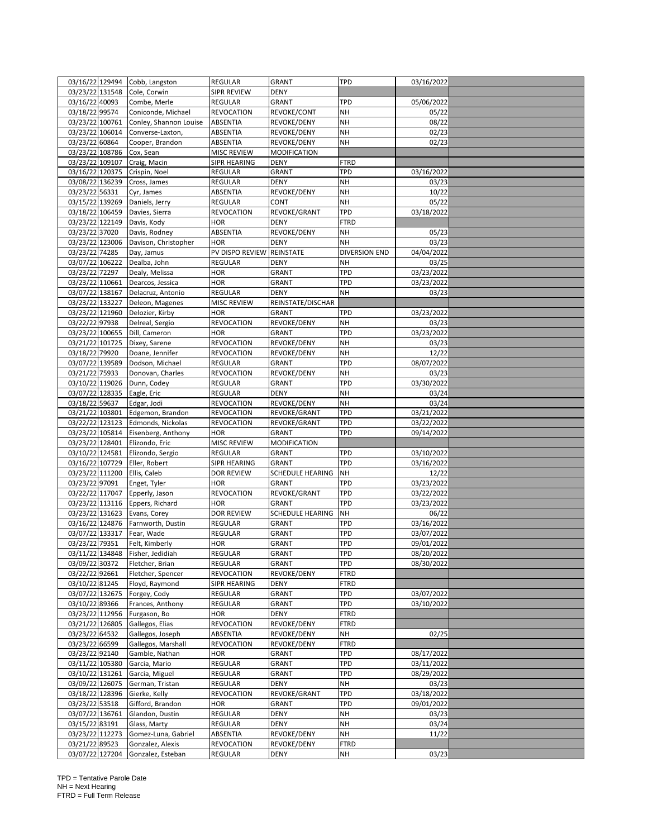| 03/16/22 129494<br>03/23/22 131548<br>SIPR REVIEW<br><b>DENY</b><br>Cole, Corwin<br>03/16/22 40093<br>Combe, Merle<br>REGULAR<br><b>GRANT</b><br><b>TPD</b><br>05/06/2022<br>03/18/22 99574<br><b>NH</b><br>Coniconde, Michael<br><b>REVOCATION</b><br>REVOKE/CONT<br>05/22<br>03/23/22 100761<br><b>ABSENTIA</b><br>REVOKE/DENY<br><b>NH</b><br>08/22<br>Conley, Shannon Louise<br>03/23/22 106014<br>Converse-Laxton,<br>ABSENTIA<br>REVOKE/DENY<br>02/23<br>NΗ<br>03/23/22 60864<br>Cooper, Brandon<br>REVOKE/DENY<br><b>NH</b><br>02/23<br>ABSENTIA<br>03/23/22 108786<br><b>MISC REVIEW</b><br>MODIFICATION<br>Cox, Sean<br>03/23/22 109107<br>Craig, Macin<br>SIPR HEARING<br><b>DENY</b><br>FTRD<br>03/16/22 120375<br>TPD<br>Crispin, Noel<br>REGULAR<br><b>GRANT</b><br>03/16/2022<br>03/08/22 136239<br><b>NH</b><br>Cross, James<br>REGULAR<br><b>DENY</b><br>03/23<br>03/23/22 56331<br>REVOKE/DENY<br>NH<br>10/22<br>Cyr, James<br>ABSENTIA<br>03/15/22 139269<br>05/22<br>REGULAR<br>CONT<br><b>NH</b><br>Daniels, Jerry<br>03/18/22 106459<br><b>TPD</b><br>03/18/2022<br>Davies, Sierra<br><b>REVOCATION</b><br>REVOKE/GRANT<br>03/23/22 122149<br><b>HOR</b><br><b>DENY</b><br><b>FTRD</b><br>Davis, Kody<br>03/23/22 37020<br>Davis, Rodney<br>ABSENTIA<br>REVOKE/DENY<br>NΗ<br>05/23<br>03/23/22 123006<br><b>DENY</b><br>03/23<br>Davison, Christopher<br><b>HOR</b><br><b>NH</b><br>03/23/22 74285<br>REINSTATE<br>04/04/2022<br>Day, Jamus<br>PV DISPO REVIEW<br>DIVERSION END<br>03/07/22 106222<br>Dealba, John<br><b>REGULAR</b><br>03/25<br>DENY<br>NΗ<br>03/23/2022<br>03/23/22 72297<br>Dealy, Melissa<br><b>TPD</b><br><b>HOR</b><br><b>GRANT</b><br>03/23/22 110661<br><b>HOR</b><br>GRANT<br><b>TPD</b><br>Dearcos, Jessica<br>03/23/2022<br>03/07/22 138167<br><b>NH</b><br>REGULAR<br><b>DENY</b><br>03/23<br>Delacruz, Antonio<br>03/23/22 133227<br>Deleon, Magenes<br>MISC REVIEW<br>REINSTATE/DISCHAR<br>03/23/22 121960<br>Delozier, Kirby<br><b>HOR</b><br>GRANT<br>TPD<br>03/23/2022<br>03/22/22 97938<br>Delreal, Sergio<br><b>REVOCATION</b><br>REVOKE/DENY<br>03/23<br>NΗ<br>03/23/22 100655<br>Dill, Cameron<br><b>TPD</b><br>03/23/2022<br><b>HOR</b><br>GRANT<br>03/21/22 101725<br>Dixey, Sarene<br><b>REVOCATION</b><br>REVOKE/DENY<br><b>NH</b><br>03/23<br>03/18/22 79920<br>Doane, Jennifer<br><b>REVOCATION</b><br>REVOKE/DENY<br><b>NH</b><br>12/22<br>03/07/22 139589<br>TPD<br>08/07/2022<br>Dodson, Michael<br>REGULAR<br><b>GRANT</b><br>03/21/22 75933<br>Donovan, Charles<br>REVOCATION<br>REVOKE/DENY<br><b>NH</b><br>03/23<br>03/10/22 119026<br>Dunn, Codey<br><b>TPD</b><br>03/30/2022<br><b>REGULAR</b><br>GRANT<br>03/07/22 128335<br><b>DENY</b><br>Eagle, Eric<br>REGULAR<br><b>NH</b><br>03/24<br>03/18/22 59637<br><b>REVOCATION</b><br>REVOKE/DENY<br>NΗ<br>03/24<br>Edgar, Jodi<br>03/21/2022<br>03/21/22 103801<br><b>TPD</b><br>Edgemon, Brandon<br><b>REVOCATION</b><br>REVOKE/GRANT<br>03/22/22 123123<br>TPD<br>Edmonds, Nickolas<br><b>REVOCATION</b><br>REVOKE/GRANT<br>03/22/2022<br>03/23/22 105814<br>TPD<br>Eisenberg, Anthony<br><b>HOR</b><br>GRANT<br>09/14/2022<br>03/23/22 128401<br>Elizondo, Eric<br>MODIFICATION<br><b>MISC REVIEW</b><br>03/10/22 124581<br>Elizondo, Sergio<br>REGULAR<br>GRANT<br>TPD<br>03/10/2022<br>03/16/22 107729<br><b>TPD</b><br>03/16/2022<br>Eller, Robert<br>SIPR HEARING<br>GRANT<br>03/23/22 111200<br><b>SCHEDULE HEARING</b><br>Ellis, Caleb<br>DOR REVIEW<br>NΗ<br>12/22<br>03/23/22 97091<br>03/23/2022<br><b>HOR</b><br><b>GRANT</b><br><b>TPD</b><br>Enget, Tyler<br>03/22/22 117047<br>REVOCATION<br>REVOKE/GRANT<br><b>TPD</b><br>03/22/2022<br>Epperly, Jason<br>03/23/22 113116 Eppers, Richard<br>TPD<br><b>GRANT</b><br>03/23/2022<br>HOR<br>03/23/22 131623 Evans, Corey<br><b>DOR REVIEW</b><br><b>SCHEDULE HEARING</b><br>NH<br>06/22<br>03/16/22 124876<br>Farnworth, Dustin<br>03/16/2022<br><b>REGULAR</b><br>GRANT<br>TPD<br>03/07/22 133317 Fear, Wade<br><b>GRANT</b><br><b>TPD</b><br>03/07/2022<br><b>REGULAR</b><br>03/23/22 79351<br>Felt, Kimberly<br><b>HOR</b><br><b>GRANT</b><br><b>TPD</b><br>09/01/2022<br>03/11/22 134848 Fisher, Jedidiah<br>REGULAR<br><b>GRANT</b><br><b>TPD</b><br>08/20/2022<br>03/09/22 30372<br>TPD<br>Fletcher, Brian<br>REGULAR<br>GRANT<br>08/30/2022<br>03/22/22 92661<br>Fletcher, Spencer<br><b>REVOCATION</b><br>REVOKE/DENY<br><b>FTRD</b><br>03/10/22 81245<br>Floyd, Raymond<br>SIPR HEARING<br>DENY<br><b>FTRD</b><br>03/07/22 132675<br>Forgey, Cody<br>REGULAR<br>GRANT<br>TPD<br>03/07/2022<br>TPD<br>03/10/22 89366<br>Frances, Anthony<br>REGULAR<br>GRANT<br>03/10/2022<br>03/23/22 112956<br>Furgason, Bo<br><b>DENY</b><br><b>HOR</b><br>FTRD<br>03/21/22 126805<br><b>FTRD</b><br>Gallegos, Elias<br>REVOCATION<br>REVOKE/DENY<br>03/23/22 64532<br>Gallegos, Joseph<br>ABSENTIA<br>REVOKE/DENY<br>NΗ<br>02/25<br>03/23/22 66599<br>Gallegos, Marshall<br><b>REVOCATION</b><br>REVOKE/DENY<br><b>FTRD</b><br>03/23/22 92140<br>GRANT<br>TPD<br>08/17/2022<br>Gamble, Nathan<br><b>HOR</b><br>03/11/22 105380<br>Garcia, Mario<br>REGULAR<br>GRANT<br><b>TPD</b><br>03/11/2022<br>03/10/22 131261<br>REGULAR<br>GRANT<br>TPD<br>08/29/2022<br>Garcia, Miguel<br>03/09/22 126075<br><b>NH</b><br>German, Tristan<br>REGULAR<br>DENY<br>03/23<br>03/18/22 128396<br>Gierke, Kelly<br>REVOCATION<br>REVOKE/GRANT<br><b>TPD</b><br>03/18/2022<br>03/23/22 53518<br>Gifford, Brandon<br>TPD<br>09/01/2022<br>HOR<br>GRANT<br>03/07/22 136761<br>Glandon, Dustin<br>REGULAR<br>DENY<br>NΗ<br>03/23<br>03/15/22 83191<br><b>DENY</b><br>NH<br>REGULAR<br>03/24<br>Glass, Marty<br>03/23/22 112273<br>Gomez-Luna, Gabriel<br>REVOKE/DENY<br>NH<br>ABSENTIA<br>11/22<br>03/21/22 89523<br>REVOCATION<br>REVOKE/DENY<br><b>FTRD</b><br>Gonzalez, Alexis<br>03/07/22 127204<br>03/23<br>Gonzalez, Esteban<br>REGULAR<br><b>DENY</b><br>NΗ |  | Cobb, Langston | <b>REGULAR</b> | <b>GRANT</b> | <b>TPD</b> | 03/16/2022 |  |
|-----------------------------------------------------------------------------------------------------------------------------------------------------------------------------------------------------------------------------------------------------------------------------------------------------------------------------------------------------------------------------------------------------------------------------------------------------------------------------------------------------------------------------------------------------------------------------------------------------------------------------------------------------------------------------------------------------------------------------------------------------------------------------------------------------------------------------------------------------------------------------------------------------------------------------------------------------------------------------------------------------------------------------------------------------------------------------------------------------------------------------------------------------------------------------------------------------------------------------------------------------------------------------------------------------------------------------------------------------------------------------------------------------------------------------------------------------------------------------------------------------------------------------------------------------------------------------------------------------------------------------------------------------------------------------------------------------------------------------------------------------------------------------------------------------------------------------------------------------------------------------------------------------------------------------------------------------------------------------------------------------------------------------------------------------------------------------------------------------------------------------------------------------------------------------------------------------------------------------------------------------------------------------------------------------------------------------------------------------------------------------------------------------------------------------------------------------------------------------------------------------------------------------------------------------------------------------------------------------------------------------------------------------------------------------------------------------------------------------------------------------------------------------------------------------------------------------------------------------------------------------------------------------------------------------------------------------------------------------------------------------------------------------------------------------------------------------------------------------------------------------------------------------------------------------------------------------------------------------------------------------------------------------------------------------------------------------------------------------------------------------------------------------------------------------------------------------------------------------------------------------------------------------------------------------------------------------------------------------------------------------------------------------------------------------------------------------------------------------------------------------------------------------------------------------------------------------------------------------------------------------------------------------------------------------------------------------------------------------------------------------------------------------------------------------------------------------------------------------------------------------------------------------------------------------------------------------------------------------------------------------------------------------------------------------------------------------------------------------------------------------------------------------------------------------------------------------------------------------------------------------------------------------------------------------------------------------------------------------------------------------------------------------------------------------------------------------------------------------------------------------------------------------------------------------------------------------------------------------------------------------------------------------------------------------------------------------------------------------------------------------------------------------------------------------------------------------------------------------------------------------------------------------------------------------------------------------------------------------------------------------------------------------------------------------------------------------------------------------------------------------------------------------------------------------------------------------------------------------------------------------------------------------------------------------------------------------------------------------------------------------------------------------------------------------------------------------------------------------------------------------------------------------------------------------------------------------------------------------------------------------------------------------------------------------------|--|----------------|----------------|--------------|------------|------------|--|
|                                                                                                                                                                                                                                                                                                                                                                                                                                                                                                                                                                                                                                                                                                                                                                                                                                                                                                                                                                                                                                                                                                                                                                                                                                                                                                                                                                                                                                                                                                                                                                                                                                                                                                                                                                                                                                                                                                                                                                                                                                                                                                                                                                                                                                                                                                                                                                                                                                                                                                                                                                                                                                                                                                                                                                                                                                                                                                                                                                                                                                                                                                                                                                                                                                                                                                                                                                                                                                                                                                                                                                                                                                                                                                                                                                                                                                                                                                                                                                                                                                                                                                                                                                                                                                                                                                                                                                                                                                                                                                                                                                                                                                                                                                                                                                                                                                                                                                                                                                                                                                                                                                                                                                                                                                                                                                                                                                                                                                                                                                                                                                                                                                                                                                                                                                                                                                                                                                                                   |  |                |                |              |            |            |  |
|                                                                                                                                                                                                                                                                                                                                                                                                                                                                                                                                                                                                                                                                                                                                                                                                                                                                                                                                                                                                                                                                                                                                                                                                                                                                                                                                                                                                                                                                                                                                                                                                                                                                                                                                                                                                                                                                                                                                                                                                                                                                                                                                                                                                                                                                                                                                                                                                                                                                                                                                                                                                                                                                                                                                                                                                                                                                                                                                                                                                                                                                                                                                                                                                                                                                                                                                                                                                                                                                                                                                                                                                                                                                                                                                                                                                                                                                                                                                                                                                                                                                                                                                                                                                                                                                                                                                                                                                                                                                                                                                                                                                                                                                                                                                                                                                                                                                                                                                                                                                                                                                                                                                                                                                                                                                                                                                                                                                                                                                                                                                                                                                                                                                                                                                                                                                                                                                                                                                   |  |                |                |              |            |            |  |
|                                                                                                                                                                                                                                                                                                                                                                                                                                                                                                                                                                                                                                                                                                                                                                                                                                                                                                                                                                                                                                                                                                                                                                                                                                                                                                                                                                                                                                                                                                                                                                                                                                                                                                                                                                                                                                                                                                                                                                                                                                                                                                                                                                                                                                                                                                                                                                                                                                                                                                                                                                                                                                                                                                                                                                                                                                                                                                                                                                                                                                                                                                                                                                                                                                                                                                                                                                                                                                                                                                                                                                                                                                                                                                                                                                                                                                                                                                                                                                                                                                                                                                                                                                                                                                                                                                                                                                                                                                                                                                                                                                                                                                                                                                                                                                                                                                                                                                                                                                                                                                                                                                                                                                                                                                                                                                                                                                                                                                                                                                                                                                                                                                                                                                                                                                                                                                                                                                                                   |  |                |                |              |            |            |  |
|                                                                                                                                                                                                                                                                                                                                                                                                                                                                                                                                                                                                                                                                                                                                                                                                                                                                                                                                                                                                                                                                                                                                                                                                                                                                                                                                                                                                                                                                                                                                                                                                                                                                                                                                                                                                                                                                                                                                                                                                                                                                                                                                                                                                                                                                                                                                                                                                                                                                                                                                                                                                                                                                                                                                                                                                                                                                                                                                                                                                                                                                                                                                                                                                                                                                                                                                                                                                                                                                                                                                                                                                                                                                                                                                                                                                                                                                                                                                                                                                                                                                                                                                                                                                                                                                                                                                                                                                                                                                                                                                                                                                                                                                                                                                                                                                                                                                                                                                                                                                                                                                                                                                                                                                                                                                                                                                                                                                                                                                                                                                                                                                                                                                                                                                                                                                                                                                                                                                   |  |                |                |              |            |            |  |
|                                                                                                                                                                                                                                                                                                                                                                                                                                                                                                                                                                                                                                                                                                                                                                                                                                                                                                                                                                                                                                                                                                                                                                                                                                                                                                                                                                                                                                                                                                                                                                                                                                                                                                                                                                                                                                                                                                                                                                                                                                                                                                                                                                                                                                                                                                                                                                                                                                                                                                                                                                                                                                                                                                                                                                                                                                                                                                                                                                                                                                                                                                                                                                                                                                                                                                                                                                                                                                                                                                                                                                                                                                                                                                                                                                                                                                                                                                                                                                                                                                                                                                                                                                                                                                                                                                                                                                                                                                                                                                                                                                                                                                                                                                                                                                                                                                                                                                                                                                                                                                                                                                                                                                                                                                                                                                                                                                                                                                                                                                                                                                                                                                                                                                                                                                                                                                                                                                                                   |  |                |                |              |            |            |  |
|                                                                                                                                                                                                                                                                                                                                                                                                                                                                                                                                                                                                                                                                                                                                                                                                                                                                                                                                                                                                                                                                                                                                                                                                                                                                                                                                                                                                                                                                                                                                                                                                                                                                                                                                                                                                                                                                                                                                                                                                                                                                                                                                                                                                                                                                                                                                                                                                                                                                                                                                                                                                                                                                                                                                                                                                                                                                                                                                                                                                                                                                                                                                                                                                                                                                                                                                                                                                                                                                                                                                                                                                                                                                                                                                                                                                                                                                                                                                                                                                                                                                                                                                                                                                                                                                                                                                                                                                                                                                                                                                                                                                                                                                                                                                                                                                                                                                                                                                                                                                                                                                                                                                                                                                                                                                                                                                                                                                                                                                                                                                                                                                                                                                                                                                                                                                                                                                                                                                   |  |                |                |              |            |            |  |
|                                                                                                                                                                                                                                                                                                                                                                                                                                                                                                                                                                                                                                                                                                                                                                                                                                                                                                                                                                                                                                                                                                                                                                                                                                                                                                                                                                                                                                                                                                                                                                                                                                                                                                                                                                                                                                                                                                                                                                                                                                                                                                                                                                                                                                                                                                                                                                                                                                                                                                                                                                                                                                                                                                                                                                                                                                                                                                                                                                                                                                                                                                                                                                                                                                                                                                                                                                                                                                                                                                                                                                                                                                                                                                                                                                                                                                                                                                                                                                                                                                                                                                                                                                                                                                                                                                                                                                                                                                                                                                                                                                                                                                                                                                                                                                                                                                                                                                                                                                                                                                                                                                                                                                                                                                                                                                                                                                                                                                                                                                                                                                                                                                                                                                                                                                                                                                                                                                                                   |  |                |                |              |            |            |  |
|                                                                                                                                                                                                                                                                                                                                                                                                                                                                                                                                                                                                                                                                                                                                                                                                                                                                                                                                                                                                                                                                                                                                                                                                                                                                                                                                                                                                                                                                                                                                                                                                                                                                                                                                                                                                                                                                                                                                                                                                                                                                                                                                                                                                                                                                                                                                                                                                                                                                                                                                                                                                                                                                                                                                                                                                                                                                                                                                                                                                                                                                                                                                                                                                                                                                                                                                                                                                                                                                                                                                                                                                                                                                                                                                                                                                                                                                                                                                                                                                                                                                                                                                                                                                                                                                                                                                                                                                                                                                                                                                                                                                                                                                                                                                                                                                                                                                                                                                                                                                                                                                                                                                                                                                                                                                                                                                                                                                                                                                                                                                                                                                                                                                                                                                                                                                                                                                                                                                   |  |                |                |              |            |            |  |
|                                                                                                                                                                                                                                                                                                                                                                                                                                                                                                                                                                                                                                                                                                                                                                                                                                                                                                                                                                                                                                                                                                                                                                                                                                                                                                                                                                                                                                                                                                                                                                                                                                                                                                                                                                                                                                                                                                                                                                                                                                                                                                                                                                                                                                                                                                                                                                                                                                                                                                                                                                                                                                                                                                                                                                                                                                                                                                                                                                                                                                                                                                                                                                                                                                                                                                                                                                                                                                                                                                                                                                                                                                                                                                                                                                                                                                                                                                                                                                                                                                                                                                                                                                                                                                                                                                                                                                                                                                                                                                                                                                                                                                                                                                                                                                                                                                                                                                                                                                                                                                                                                                                                                                                                                                                                                                                                                                                                                                                                                                                                                                                                                                                                                                                                                                                                                                                                                                                                   |  |                |                |              |            |            |  |
|                                                                                                                                                                                                                                                                                                                                                                                                                                                                                                                                                                                                                                                                                                                                                                                                                                                                                                                                                                                                                                                                                                                                                                                                                                                                                                                                                                                                                                                                                                                                                                                                                                                                                                                                                                                                                                                                                                                                                                                                                                                                                                                                                                                                                                                                                                                                                                                                                                                                                                                                                                                                                                                                                                                                                                                                                                                                                                                                                                                                                                                                                                                                                                                                                                                                                                                                                                                                                                                                                                                                                                                                                                                                                                                                                                                                                                                                                                                                                                                                                                                                                                                                                                                                                                                                                                                                                                                                                                                                                                                                                                                                                                                                                                                                                                                                                                                                                                                                                                                                                                                                                                                                                                                                                                                                                                                                                                                                                                                                                                                                                                                                                                                                                                                                                                                                                                                                                                                                   |  |                |                |              |            |            |  |
|                                                                                                                                                                                                                                                                                                                                                                                                                                                                                                                                                                                                                                                                                                                                                                                                                                                                                                                                                                                                                                                                                                                                                                                                                                                                                                                                                                                                                                                                                                                                                                                                                                                                                                                                                                                                                                                                                                                                                                                                                                                                                                                                                                                                                                                                                                                                                                                                                                                                                                                                                                                                                                                                                                                                                                                                                                                                                                                                                                                                                                                                                                                                                                                                                                                                                                                                                                                                                                                                                                                                                                                                                                                                                                                                                                                                                                                                                                                                                                                                                                                                                                                                                                                                                                                                                                                                                                                                                                                                                                                                                                                                                                                                                                                                                                                                                                                                                                                                                                                                                                                                                                                                                                                                                                                                                                                                                                                                                                                                                                                                                                                                                                                                                                                                                                                                                                                                                                                                   |  |                |                |              |            |            |  |
|                                                                                                                                                                                                                                                                                                                                                                                                                                                                                                                                                                                                                                                                                                                                                                                                                                                                                                                                                                                                                                                                                                                                                                                                                                                                                                                                                                                                                                                                                                                                                                                                                                                                                                                                                                                                                                                                                                                                                                                                                                                                                                                                                                                                                                                                                                                                                                                                                                                                                                                                                                                                                                                                                                                                                                                                                                                                                                                                                                                                                                                                                                                                                                                                                                                                                                                                                                                                                                                                                                                                                                                                                                                                                                                                                                                                                                                                                                                                                                                                                                                                                                                                                                                                                                                                                                                                                                                                                                                                                                                                                                                                                                                                                                                                                                                                                                                                                                                                                                                                                                                                                                                                                                                                                                                                                                                                                                                                                                                                                                                                                                                                                                                                                                                                                                                                                                                                                                                                   |  |                |                |              |            |            |  |
|                                                                                                                                                                                                                                                                                                                                                                                                                                                                                                                                                                                                                                                                                                                                                                                                                                                                                                                                                                                                                                                                                                                                                                                                                                                                                                                                                                                                                                                                                                                                                                                                                                                                                                                                                                                                                                                                                                                                                                                                                                                                                                                                                                                                                                                                                                                                                                                                                                                                                                                                                                                                                                                                                                                                                                                                                                                                                                                                                                                                                                                                                                                                                                                                                                                                                                                                                                                                                                                                                                                                                                                                                                                                                                                                                                                                                                                                                                                                                                                                                                                                                                                                                                                                                                                                                                                                                                                                                                                                                                                                                                                                                                                                                                                                                                                                                                                                                                                                                                                                                                                                                                                                                                                                                                                                                                                                                                                                                                                                                                                                                                                                                                                                                                                                                                                                                                                                                                                                   |  |                |                |              |            |            |  |
|                                                                                                                                                                                                                                                                                                                                                                                                                                                                                                                                                                                                                                                                                                                                                                                                                                                                                                                                                                                                                                                                                                                                                                                                                                                                                                                                                                                                                                                                                                                                                                                                                                                                                                                                                                                                                                                                                                                                                                                                                                                                                                                                                                                                                                                                                                                                                                                                                                                                                                                                                                                                                                                                                                                                                                                                                                                                                                                                                                                                                                                                                                                                                                                                                                                                                                                                                                                                                                                                                                                                                                                                                                                                                                                                                                                                                                                                                                                                                                                                                                                                                                                                                                                                                                                                                                                                                                                                                                                                                                                                                                                                                                                                                                                                                                                                                                                                                                                                                                                                                                                                                                                                                                                                                                                                                                                                                                                                                                                                                                                                                                                                                                                                                                                                                                                                                                                                                                                                   |  |                |                |              |            |            |  |
|                                                                                                                                                                                                                                                                                                                                                                                                                                                                                                                                                                                                                                                                                                                                                                                                                                                                                                                                                                                                                                                                                                                                                                                                                                                                                                                                                                                                                                                                                                                                                                                                                                                                                                                                                                                                                                                                                                                                                                                                                                                                                                                                                                                                                                                                                                                                                                                                                                                                                                                                                                                                                                                                                                                                                                                                                                                                                                                                                                                                                                                                                                                                                                                                                                                                                                                                                                                                                                                                                                                                                                                                                                                                                                                                                                                                                                                                                                                                                                                                                                                                                                                                                                                                                                                                                                                                                                                                                                                                                                                                                                                                                                                                                                                                                                                                                                                                                                                                                                                                                                                                                                                                                                                                                                                                                                                                                                                                                                                                                                                                                                                                                                                                                                                                                                                                                                                                                                                                   |  |                |                |              |            |            |  |
|                                                                                                                                                                                                                                                                                                                                                                                                                                                                                                                                                                                                                                                                                                                                                                                                                                                                                                                                                                                                                                                                                                                                                                                                                                                                                                                                                                                                                                                                                                                                                                                                                                                                                                                                                                                                                                                                                                                                                                                                                                                                                                                                                                                                                                                                                                                                                                                                                                                                                                                                                                                                                                                                                                                                                                                                                                                                                                                                                                                                                                                                                                                                                                                                                                                                                                                                                                                                                                                                                                                                                                                                                                                                                                                                                                                                                                                                                                                                                                                                                                                                                                                                                                                                                                                                                                                                                                                                                                                                                                                                                                                                                                                                                                                                                                                                                                                                                                                                                                                                                                                                                                                                                                                                                                                                                                                                                                                                                                                                                                                                                                                                                                                                                                                                                                                                                                                                                                                                   |  |                |                |              |            |            |  |
|                                                                                                                                                                                                                                                                                                                                                                                                                                                                                                                                                                                                                                                                                                                                                                                                                                                                                                                                                                                                                                                                                                                                                                                                                                                                                                                                                                                                                                                                                                                                                                                                                                                                                                                                                                                                                                                                                                                                                                                                                                                                                                                                                                                                                                                                                                                                                                                                                                                                                                                                                                                                                                                                                                                                                                                                                                                                                                                                                                                                                                                                                                                                                                                                                                                                                                                                                                                                                                                                                                                                                                                                                                                                                                                                                                                                                                                                                                                                                                                                                                                                                                                                                                                                                                                                                                                                                                                                                                                                                                                                                                                                                                                                                                                                                                                                                                                                                                                                                                                                                                                                                                                                                                                                                                                                                                                                                                                                                                                                                                                                                                                                                                                                                                                                                                                                                                                                                                                                   |  |                |                |              |            |            |  |
|                                                                                                                                                                                                                                                                                                                                                                                                                                                                                                                                                                                                                                                                                                                                                                                                                                                                                                                                                                                                                                                                                                                                                                                                                                                                                                                                                                                                                                                                                                                                                                                                                                                                                                                                                                                                                                                                                                                                                                                                                                                                                                                                                                                                                                                                                                                                                                                                                                                                                                                                                                                                                                                                                                                                                                                                                                                                                                                                                                                                                                                                                                                                                                                                                                                                                                                                                                                                                                                                                                                                                                                                                                                                                                                                                                                                                                                                                                                                                                                                                                                                                                                                                                                                                                                                                                                                                                                                                                                                                                                                                                                                                                                                                                                                                                                                                                                                                                                                                                                                                                                                                                                                                                                                                                                                                                                                                                                                                                                                                                                                                                                                                                                                                                                                                                                                                                                                                                                                   |  |                |                |              |            |            |  |
|                                                                                                                                                                                                                                                                                                                                                                                                                                                                                                                                                                                                                                                                                                                                                                                                                                                                                                                                                                                                                                                                                                                                                                                                                                                                                                                                                                                                                                                                                                                                                                                                                                                                                                                                                                                                                                                                                                                                                                                                                                                                                                                                                                                                                                                                                                                                                                                                                                                                                                                                                                                                                                                                                                                                                                                                                                                                                                                                                                                                                                                                                                                                                                                                                                                                                                                                                                                                                                                                                                                                                                                                                                                                                                                                                                                                                                                                                                                                                                                                                                                                                                                                                                                                                                                                                                                                                                                                                                                                                                                                                                                                                                                                                                                                                                                                                                                                                                                                                                                                                                                                                                                                                                                                                                                                                                                                                                                                                                                                                                                                                                                                                                                                                                                                                                                                                                                                                                                                   |  |                |                |              |            |            |  |
|                                                                                                                                                                                                                                                                                                                                                                                                                                                                                                                                                                                                                                                                                                                                                                                                                                                                                                                                                                                                                                                                                                                                                                                                                                                                                                                                                                                                                                                                                                                                                                                                                                                                                                                                                                                                                                                                                                                                                                                                                                                                                                                                                                                                                                                                                                                                                                                                                                                                                                                                                                                                                                                                                                                                                                                                                                                                                                                                                                                                                                                                                                                                                                                                                                                                                                                                                                                                                                                                                                                                                                                                                                                                                                                                                                                                                                                                                                                                                                                                                                                                                                                                                                                                                                                                                                                                                                                                                                                                                                                                                                                                                                                                                                                                                                                                                                                                                                                                                                                                                                                                                                                                                                                                                                                                                                                                                                                                                                                                                                                                                                                                                                                                                                                                                                                                                                                                                                                                   |  |                |                |              |            |            |  |
|                                                                                                                                                                                                                                                                                                                                                                                                                                                                                                                                                                                                                                                                                                                                                                                                                                                                                                                                                                                                                                                                                                                                                                                                                                                                                                                                                                                                                                                                                                                                                                                                                                                                                                                                                                                                                                                                                                                                                                                                                                                                                                                                                                                                                                                                                                                                                                                                                                                                                                                                                                                                                                                                                                                                                                                                                                                                                                                                                                                                                                                                                                                                                                                                                                                                                                                                                                                                                                                                                                                                                                                                                                                                                                                                                                                                                                                                                                                                                                                                                                                                                                                                                                                                                                                                                                                                                                                                                                                                                                                                                                                                                                                                                                                                                                                                                                                                                                                                                                                                                                                                                                                                                                                                                                                                                                                                                                                                                                                                                                                                                                                                                                                                                                                                                                                                                                                                                                                                   |  |                |                |              |            |            |  |
|                                                                                                                                                                                                                                                                                                                                                                                                                                                                                                                                                                                                                                                                                                                                                                                                                                                                                                                                                                                                                                                                                                                                                                                                                                                                                                                                                                                                                                                                                                                                                                                                                                                                                                                                                                                                                                                                                                                                                                                                                                                                                                                                                                                                                                                                                                                                                                                                                                                                                                                                                                                                                                                                                                                                                                                                                                                                                                                                                                                                                                                                                                                                                                                                                                                                                                                                                                                                                                                                                                                                                                                                                                                                                                                                                                                                                                                                                                                                                                                                                                                                                                                                                                                                                                                                                                                                                                                                                                                                                                                                                                                                                                                                                                                                                                                                                                                                                                                                                                                                                                                                                                                                                                                                                                                                                                                                                                                                                                                                                                                                                                                                                                                                                                                                                                                                                                                                                                                                   |  |                |                |              |            |            |  |
|                                                                                                                                                                                                                                                                                                                                                                                                                                                                                                                                                                                                                                                                                                                                                                                                                                                                                                                                                                                                                                                                                                                                                                                                                                                                                                                                                                                                                                                                                                                                                                                                                                                                                                                                                                                                                                                                                                                                                                                                                                                                                                                                                                                                                                                                                                                                                                                                                                                                                                                                                                                                                                                                                                                                                                                                                                                                                                                                                                                                                                                                                                                                                                                                                                                                                                                                                                                                                                                                                                                                                                                                                                                                                                                                                                                                                                                                                                                                                                                                                                                                                                                                                                                                                                                                                                                                                                                                                                                                                                                                                                                                                                                                                                                                                                                                                                                                                                                                                                                                                                                                                                                                                                                                                                                                                                                                                                                                                                                                                                                                                                                                                                                                                                                                                                                                                                                                                                                                   |  |                |                |              |            |            |  |
|                                                                                                                                                                                                                                                                                                                                                                                                                                                                                                                                                                                                                                                                                                                                                                                                                                                                                                                                                                                                                                                                                                                                                                                                                                                                                                                                                                                                                                                                                                                                                                                                                                                                                                                                                                                                                                                                                                                                                                                                                                                                                                                                                                                                                                                                                                                                                                                                                                                                                                                                                                                                                                                                                                                                                                                                                                                                                                                                                                                                                                                                                                                                                                                                                                                                                                                                                                                                                                                                                                                                                                                                                                                                                                                                                                                                                                                                                                                                                                                                                                                                                                                                                                                                                                                                                                                                                                                                                                                                                                                                                                                                                                                                                                                                                                                                                                                                                                                                                                                                                                                                                                                                                                                                                                                                                                                                                                                                                                                                                                                                                                                                                                                                                                                                                                                                                                                                                                                                   |  |                |                |              |            |            |  |
|                                                                                                                                                                                                                                                                                                                                                                                                                                                                                                                                                                                                                                                                                                                                                                                                                                                                                                                                                                                                                                                                                                                                                                                                                                                                                                                                                                                                                                                                                                                                                                                                                                                                                                                                                                                                                                                                                                                                                                                                                                                                                                                                                                                                                                                                                                                                                                                                                                                                                                                                                                                                                                                                                                                                                                                                                                                                                                                                                                                                                                                                                                                                                                                                                                                                                                                                                                                                                                                                                                                                                                                                                                                                                                                                                                                                                                                                                                                                                                                                                                                                                                                                                                                                                                                                                                                                                                                                                                                                                                                                                                                                                                                                                                                                                                                                                                                                                                                                                                                                                                                                                                                                                                                                                                                                                                                                                                                                                                                                                                                                                                                                                                                                                                                                                                                                                                                                                                                                   |  |                |                |              |            |            |  |
|                                                                                                                                                                                                                                                                                                                                                                                                                                                                                                                                                                                                                                                                                                                                                                                                                                                                                                                                                                                                                                                                                                                                                                                                                                                                                                                                                                                                                                                                                                                                                                                                                                                                                                                                                                                                                                                                                                                                                                                                                                                                                                                                                                                                                                                                                                                                                                                                                                                                                                                                                                                                                                                                                                                                                                                                                                                                                                                                                                                                                                                                                                                                                                                                                                                                                                                                                                                                                                                                                                                                                                                                                                                                                                                                                                                                                                                                                                                                                                                                                                                                                                                                                                                                                                                                                                                                                                                                                                                                                                                                                                                                                                                                                                                                                                                                                                                                                                                                                                                                                                                                                                                                                                                                                                                                                                                                                                                                                                                                                                                                                                                                                                                                                                                                                                                                                                                                                                                                   |  |                |                |              |            |            |  |
|                                                                                                                                                                                                                                                                                                                                                                                                                                                                                                                                                                                                                                                                                                                                                                                                                                                                                                                                                                                                                                                                                                                                                                                                                                                                                                                                                                                                                                                                                                                                                                                                                                                                                                                                                                                                                                                                                                                                                                                                                                                                                                                                                                                                                                                                                                                                                                                                                                                                                                                                                                                                                                                                                                                                                                                                                                                                                                                                                                                                                                                                                                                                                                                                                                                                                                                                                                                                                                                                                                                                                                                                                                                                                                                                                                                                                                                                                                                                                                                                                                                                                                                                                                                                                                                                                                                                                                                                                                                                                                                                                                                                                                                                                                                                                                                                                                                                                                                                                                                                                                                                                                                                                                                                                                                                                                                                                                                                                                                                                                                                                                                                                                                                                                                                                                                                                                                                                                                                   |  |                |                |              |            |            |  |
|                                                                                                                                                                                                                                                                                                                                                                                                                                                                                                                                                                                                                                                                                                                                                                                                                                                                                                                                                                                                                                                                                                                                                                                                                                                                                                                                                                                                                                                                                                                                                                                                                                                                                                                                                                                                                                                                                                                                                                                                                                                                                                                                                                                                                                                                                                                                                                                                                                                                                                                                                                                                                                                                                                                                                                                                                                                                                                                                                                                                                                                                                                                                                                                                                                                                                                                                                                                                                                                                                                                                                                                                                                                                                                                                                                                                                                                                                                                                                                                                                                                                                                                                                                                                                                                                                                                                                                                                                                                                                                                                                                                                                                                                                                                                                                                                                                                                                                                                                                                                                                                                                                                                                                                                                                                                                                                                                                                                                                                                                                                                                                                                                                                                                                                                                                                                                                                                                                                                   |  |                |                |              |            |            |  |
|                                                                                                                                                                                                                                                                                                                                                                                                                                                                                                                                                                                                                                                                                                                                                                                                                                                                                                                                                                                                                                                                                                                                                                                                                                                                                                                                                                                                                                                                                                                                                                                                                                                                                                                                                                                                                                                                                                                                                                                                                                                                                                                                                                                                                                                                                                                                                                                                                                                                                                                                                                                                                                                                                                                                                                                                                                                                                                                                                                                                                                                                                                                                                                                                                                                                                                                                                                                                                                                                                                                                                                                                                                                                                                                                                                                                                                                                                                                                                                                                                                                                                                                                                                                                                                                                                                                                                                                                                                                                                                                                                                                                                                                                                                                                                                                                                                                                                                                                                                                                                                                                                                                                                                                                                                                                                                                                                                                                                                                                                                                                                                                                                                                                                                                                                                                                                                                                                                                                   |  |                |                |              |            |            |  |
|                                                                                                                                                                                                                                                                                                                                                                                                                                                                                                                                                                                                                                                                                                                                                                                                                                                                                                                                                                                                                                                                                                                                                                                                                                                                                                                                                                                                                                                                                                                                                                                                                                                                                                                                                                                                                                                                                                                                                                                                                                                                                                                                                                                                                                                                                                                                                                                                                                                                                                                                                                                                                                                                                                                                                                                                                                                                                                                                                                                                                                                                                                                                                                                                                                                                                                                                                                                                                                                                                                                                                                                                                                                                                                                                                                                                                                                                                                                                                                                                                                                                                                                                                                                                                                                                                                                                                                                                                                                                                                                                                                                                                                                                                                                                                                                                                                                                                                                                                                                                                                                                                                                                                                                                                                                                                                                                                                                                                                                                                                                                                                                                                                                                                                                                                                                                                                                                                                                                   |  |                |                |              |            |            |  |
|                                                                                                                                                                                                                                                                                                                                                                                                                                                                                                                                                                                                                                                                                                                                                                                                                                                                                                                                                                                                                                                                                                                                                                                                                                                                                                                                                                                                                                                                                                                                                                                                                                                                                                                                                                                                                                                                                                                                                                                                                                                                                                                                                                                                                                                                                                                                                                                                                                                                                                                                                                                                                                                                                                                                                                                                                                                                                                                                                                                                                                                                                                                                                                                                                                                                                                                                                                                                                                                                                                                                                                                                                                                                                                                                                                                                                                                                                                                                                                                                                                                                                                                                                                                                                                                                                                                                                                                                                                                                                                                                                                                                                                                                                                                                                                                                                                                                                                                                                                                                                                                                                                                                                                                                                                                                                                                                                                                                                                                                                                                                                                                                                                                                                                                                                                                                                                                                                                                                   |  |                |                |              |            |            |  |
|                                                                                                                                                                                                                                                                                                                                                                                                                                                                                                                                                                                                                                                                                                                                                                                                                                                                                                                                                                                                                                                                                                                                                                                                                                                                                                                                                                                                                                                                                                                                                                                                                                                                                                                                                                                                                                                                                                                                                                                                                                                                                                                                                                                                                                                                                                                                                                                                                                                                                                                                                                                                                                                                                                                                                                                                                                                                                                                                                                                                                                                                                                                                                                                                                                                                                                                                                                                                                                                                                                                                                                                                                                                                                                                                                                                                                                                                                                                                                                                                                                                                                                                                                                                                                                                                                                                                                                                                                                                                                                                                                                                                                                                                                                                                                                                                                                                                                                                                                                                                                                                                                                                                                                                                                                                                                                                                                                                                                                                                                                                                                                                                                                                                                                                                                                                                                                                                                                                                   |  |                |                |              |            |            |  |
|                                                                                                                                                                                                                                                                                                                                                                                                                                                                                                                                                                                                                                                                                                                                                                                                                                                                                                                                                                                                                                                                                                                                                                                                                                                                                                                                                                                                                                                                                                                                                                                                                                                                                                                                                                                                                                                                                                                                                                                                                                                                                                                                                                                                                                                                                                                                                                                                                                                                                                                                                                                                                                                                                                                                                                                                                                                                                                                                                                                                                                                                                                                                                                                                                                                                                                                                                                                                                                                                                                                                                                                                                                                                                                                                                                                                                                                                                                                                                                                                                                                                                                                                                                                                                                                                                                                                                                                                                                                                                                                                                                                                                                                                                                                                                                                                                                                                                                                                                                                                                                                                                                                                                                                                                                                                                                                                                                                                                                                                                                                                                                                                                                                                                                                                                                                                                                                                                                                                   |  |                |                |              |            |            |  |
|                                                                                                                                                                                                                                                                                                                                                                                                                                                                                                                                                                                                                                                                                                                                                                                                                                                                                                                                                                                                                                                                                                                                                                                                                                                                                                                                                                                                                                                                                                                                                                                                                                                                                                                                                                                                                                                                                                                                                                                                                                                                                                                                                                                                                                                                                                                                                                                                                                                                                                                                                                                                                                                                                                                                                                                                                                                                                                                                                                                                                                                                                                                                                                                                                                                                                                                                                                                                                                                                                                                                                                                                                                                                                                                                                                                                                                                                                                                                                                                                                                                                                                                                                                                                                                                                                                                                                                                                                                                                                                                                                                                                                                                                                                                                                                                                                                                                                                                                                                                                                                                                                                                                                                                                                                                                                                                                                                                                                                                                                                                                                                                                                                                                                                                                                                                                                                                                                                                                   |  |                |                |              |            |            |  |
|                                                                                                                                                                                                                                                                                                                                                                                                                                                                                                                                                                                                                                                                                                                                                                                                                                                                                                                                                                                                                                                                                                                                                                                                                                                                                                                                                                                                                                                                                                                                                                                                                                                                                                                                                                                                                                                                                                                                                                                                                                                                                                                                                                                                                                                                                                                                                                                                                                                                                                                                                                                                                                                                                                                                                                                                                                                                                                                                                                                                                                                                                                                                                                                                                                                                                                                                                                                                                                                                                                                                                                                                                                                                                                                                                                                                                                                                                                                                                                                                                                                                                                                                                                                                                                                                                                                                                                                                                                                                                                                                                                                                                                                                                                                                                                                                                                                                                                                                                                                                                                                                                                                                                                                                                                                                                                                                                                                                                                                                                                                                                                                                                                                                                                                                                                                                                                                                                                                                   |  |                |                |              |            |            |  |
|                                                                                                                                                                                                                                                                                                                                                                                                                                                                                                                                                                                                                                                                                                                                                                                                                                                                                                                                                                                                                                                                                                                                                                                                                                                                                                                                                                                                                                                                                                                                                                                                                                                                                                                                                                                                                                                                                                                                                                                                                                                                                                                                                                                                                                                                                                                                                                                                                                                                                                                                                                                                                                                                                                                                                                                                                                                                                                                                                                                                                                                                                                                                                                                                                                                                                                                                                                                                                                                                                                                                                                                                                                                                                                                                                                                                                                                                                                                                                                                                                                                                                                                                                                                                                                                                                                                                                                                                                                                                                                                                                                                                                                                                                                                                                                                                                                                                                                                                                                                                                                                                                                                                                                                                                                                                                                                                                                                                                                                                                                                                                                                                                                                                                                                                                                                                                                                                                                                                   |  |                |                |              |            |            |  |
|                                                                                                                                                                                                                                                                                                                                                                                                                                                                                                                                                                                                                                                                                                                                                                                                                                                                                                                                                                                                                                                                                                                                                                                                                                                                                                                                                                                                                                                                                                                                                                                                                                                                                                                                                                                                                                                                                                                                                                                                                                                                                                                                                                                                                                                                                                                                                                                                                                                                                                                                                                                                                                                                                                                                                                                                                                                                                                                                                                                                                                                                                                                                                                                                                                                                                                                                                                                                                                                                                                                                                                                                                                                                                                                                                                                                                                                                                                                                                                                                                                                                                                                                                                                                                                                                                                                                                                                                                                                                                                                                                                                                                                                                                                                                                                                                                                                                                                                                                                                                                                                                                                                                                                                                                                                                                                                                                                                                                                                                                                                                                                                                                                                                                                                                                                                                                                                                                                                                   |  |                |                |              |            |            |  |
|                                                                                                                                                                                                                                                                                                                                                                                                                                                                                                                                                                                                                                                                                                                                                                                                                                                                                                                                                                                                                                                                                                                                                                                                                                                                                                                                                                                                                                                                                                                                                                                                                                                                                                                                                                                                                                                                                                                                                                                                                                                                                                                                                                                                                                                                                                                                                                                                                                                                                                                                                                                                                                                                                                                                                                                                                                                                                                                                                                                                                                                                                                                                                                                                                                                                                                                                                                                                                                                                                                                                                                                                                                                                                                                                                                                                                                                                                                                                                                                                                                                                                                                                                                                                                                                                                                                                                                                                                                                                                                                                                                                                                                                                                                                                                                                                                                                                                                                                                                                                                                                                                                                                                                                                                                                                                                                                                                                                                                                                                                                                                                                                                                                                                                                                                                                                                                                                                                                                   |  |                |                |              |            |            |  |
|                                                                                                                                                                                                                                                                                                                                                                                                                                                                                                                                                                                                                                                                                                                                                                                                                                                                                                                                                                                                                                                                                                                                                                                                                                                                                                                                                                                                                                                                                                                                                                                                                                                                                                                                                                                                                                                                                                                                                                                                                                                                                                                                                                                                                                                                                                                                                                                                                                                                                                                                                                                                                                                                                                                                                                                                                                                                                                                                                                                                                                                                                                                                                                                                                                                                                                                                                                                                                                                                                                                                                                                                                                                                                                                                                                                                                                                                                                                                                                                                                                                                                                                                                                                                                                                                                                                                                                                                                                                                                                                                                                                                                                                                                                                                                                                                                                                                                                                                                                                                                                                                                                                                                                                                                                                                                                                                                                                                                                                                                                                                                                                                                                                                                                                                                                                                                                                                                                                                   |  |                |                |              |            |            |  |
|                                                                                                                                                                                                                                                                                                                                                                                                                                                                                                                                                                                                                                                                                                                                                                                                                                                                                                                                                                                                                                                                                                                                                                                                                                                                                                                                                                                                                                                                                                                                                                                                                                                                                                                                                                                                                                                                                                                                                                                                                                                                                                                                                                                                                                                                                                                                                                                                                                                                                                                                                                                                                                                                                                                                                                                                                                                                                                                                                                                                                                                                                                                                                                                                                                                                                                                                                                                                                                                                                                                                                                                                                                                                                                                                                                                                                                                                                                                                                                                                                                                                                                                                                                                                                                                                                                                                                                                                                                                                                                                                                                                                                                                                                                                                                                                                                                                                                                                                                                                                                                                                                                                                                                                                                                                                                                                                                                                                                                                                                                                                                                                                                                                                                                                                                                                                                                                                                                                                   |  |                |                |              |            |            |  |
|                                                                                                                                                                                                                                                                                                                                                                                                                                                                                                                                                                                                                                                                                                                                                                                                                                                                                                                                                                                                                                                                                                                                                                                                                                                                                                                                                                                                                                                                                                                                                                                                                                                                                                                                                                                                                                                                                                                                                                                                                                                                                                                                                                                                                                                                                                                                                                                                                                                                                                                                                                                                                                                                                                                                                                                                                                                                                                                                                                                                                                                                                                                                                                                                                                                                                                                                                                                                                                                                                                                                                                                                                                                                                                                                                                                                                                                                                                                                                                                                                                                                                                                                                                                                                                                                                                                                                                                                                                                                                                                                                                                                                                                                                                                                                                                                                                                                                                                                                                                                                                                                                                                                                                                                                                                                                                                                                                                                                                                                                                                                                                                                                                                                                                                                                                                                                                                                                                                                   |  |                |                |              |            |            |  |
|                                                                                                                                                                                                                                                                                                                                                                                                                                                                                                                                                                                                                                                                                                                                                                                                                                                                                                                                                                                                                                                                                                                                                                                                                                                                                                                                                                                                                                                                                                                                                                                                                                                                                                                                                                                                                                                                                                                                                                                                                                                                                                                                                                                                                                                                                                                                                                                                                                                                                                                                                                                                                                                                                                                                                                                                                                                                                                                                                                                                                                                                                                                                                                                                                                                                                                                                                                                                                                                                                                                                                                                                                                                                                                                                                                                                                                                                                                                                                                                                                                                                                                                                                                                                                                                                                                                                                                                                                                                                                                                                                                                                                                                                                                                                                                                                                                                                                                                                                                                                                                                                                                                                                                                                                                                                                                                                                                                                                                                                                                                                                                                                                                                                                                                                                                                                                                                                                                                                   |  |                |                |              |            |            |  |
|                                                                                                                                                                                                                                                                                                                                                                                                                                                                                                                                                                                                                                                                                                                                                                                                                                                                                                                                                                                                                                                                                                                                                                                                                                                                                                                                                                                                                                                                                                                                                                                                                                                                                                                                                                                                                                                                                                                                                                                                                                                                                                                                                                                                                                                                                                                                                                                                                                                                                                                                                                                                                                                                                                                                                                                                                                                                                                                                                                                                                                                                                                                                                                                                                                                                                                                                                                                                                                                                                                                                                                                                                                                                                                                                                                                                                                                                                                                                                                                                                                                                                                                                                                                                                                                                                                                                                                                                                                                                                                                                                                                                                                                                                                                                                                                                                                                                                                                                                                                                                                                                                                                                                                                                                                                                                                                                                                                                                                                                                                                                                                                                                                                                                                                                                                                                                                                                                                                                   |  |                |                |              |            |            |  |
|                                                                                                                                                                                                                                                                                                                                                                                                                                                                                                                                                                                                                                                                                                                                                                                                                                                                                                                                                                                                                                                                                                                                                                                                                                                                                                                                                                                                                                                                                                                                                                                                                                                                                                                                                                                                                                                                                                                                                                                                                                                                                                                                                                                                                                                                                                                                                                                                                                                                                                                                                                                                                                                                                                                                                                                                                                                                                                                                                                                                                                                                                                                                                                                                                                                                                                                                                                                                                                                                                                                                                                                                                                                                                                                                                                                                                                                                                                                                                                                                                                                                                                                                                                                                                                                                                                                                                                                                                                                                                                                                                                                                                                                                                                                                                                                                                                                                                                                                                                                                                                                                                                                                                                                                                                                                                                                                                                                                                                                                                                                                                                                                                                                                                                                                                                                                                                                                                                                                   |  |                |                |              |            |            |  |
|                                                                                                                                                                                                                                                                                                                                                                                                                                                                                                                                                                                                                                                                                                                                                                                                                                                                                                                                                                                                                                                                                                                                                                                                                                                                                                                                                                                                                                                                                                                                                                                                                                                                                                                                                                                                                                                                                                                                                                                                                                                                                                                                                                                                                                                                                                                                                                                                                                                                                                                                                                                                                                                                                                                                                                                                                                                                                                                                                                                                                                                                                                                                                                                                                                                                                                                                                                                                                                                                                                                                                                                                                                                                                                                                                                                                                                                                                                                                                                                                                                                                                                                                                                                                                                                                                                                                                                                                                                                                                                                                                                                                                                                                                                                                                                                                                                                                                                                                                                                                                                                                                                                                                                                                                                                                                                                                                                                                                                                                                                                                                                                                                                                                                                                                                                                                                                                                                                                                   |  |                |                |              |            |            |  |
|                                                                                                                                                                                                                                                                                                                                                                                                                                                                                                                                                                                                                                                                                                                                                                                                                                                                                                                                                                                                                                                                                                                                                                                                                                                                                                                                                                                                                                                                                                                                                                                                                                                                                                                                                                                                                                                                                                                                                                                                                                                                                                                                                                                                                                                                                                                                                                                                                                                                                                                                                                                                                                                                                                                                                                                                                                                                                                                                                                                                                                                                                                                                                                                                                                                                                                                                                                                                                                                                                                                                                                                                                                                                                                                                                                                                                                                                                                                                                                                                                                                                                                                                                                                                                                                                                                                                                                                                                                                                                                                                                                                                                                                                                                                                                                                                                                                                                                                                                                                                                                                                                                                                                                                                                                                                                                                                                                                                                                                                                                                                                                                                                                                                                                                                                                                                                                                                                                                                   |  |                |                |              |            |            |  |
|                                                                                                                                                                                                                                                                                                                                                                                                                                                                                                                                                                                                                                                                                                                                                                                                                                                                                                                                                                                                                                                                                                                                                                                                                                                                                                                                                                                                                                                                                                                                                                                                                                                                                                                                                                                                                                                                                                                                                                                                                                                                                                                                                                                                                                                                                                                                                                                                                                                                                                                                                                                                                                                                                                                                                                                                                                                                                                                                                                                                                                                                                                                                                                                                                                                                                                                                                                                                                                                                                                                                                                                                                                                                                                                                                                                                                                                                                                                                                                                                                                                                                                                                                                                                                                                                                                                                                                                                                                                                                                                                                                                                                                                                                                                                                                                                                                                                                                                                                                                                                                                                                                                                                                                                                                                                                                                                                                                                                                                                                                                                                                                                                                                                                                                                                                                                                                                                                                                                   |  |                |                |              |            |            |  |
|                                                                                                                                                                                                                                                                                                                                                                                                                                                                                                                                                                                                                                                                                                                                                                                                                                                                                                                                                                                                                                                                                                                                                                                                                                                                                                                                                                                                                                                                                                                                                                                                                                                                                                                                                                                                                                                                                                                                                                                                                                                                                                                                                                                                                                                                                                                                                                                                                                                                                                                                                                                                                                                                                                                                                                                                                                                                                                                                                                                                                                                                                                                                                                                                                                                                                                                                                                                                                                                                                                                                                                                                                                                                                                                                                                                                                                                                                                                                                                                                                                                                                                                                                                                                                                                                                                                                                                                                                                                                                                                                                                                                                                                                                                                                                                                                                                                                                                                                                                                                                                                                                                                                                                                                                                                                                                                                                                                                                                                                                                                                                                                                                                                                                                                                                                                                                                                                                                                                   |  |                |                |              |            |            |  |
|                                                                                                                                                                                                                                                                                                                                                                                                                                                                                                                                                                                                                                                                                                                                                                                                                                                                                                                                                                                                                                                                                                                                                                                                                                                                                                                                                                                                                                                                                                                                                                                                                                                                                                                                                                                                                                                                                                                                                                                                                                                                                                                                                                                                                                                                                                                                                                                                                                                                                                                                                                                                                                                                                                                                                                                                                                                                                                                                                                                                                                                                                                                                                                                                                                                                                                                                                                                                                                                                                                                                                                                                                                                                                                                                                                                                                                                                                                                                                                                                                                                                                                                                                                                                                                                                                                                                                                                                                                                                                                                                                                                                                                                                                                                                                                                                                                                                                                                                                                                                                                                                                                                                                                                                                                                                                                                                                                                                                                                                                                                                                                                                                                                                                                                                                                                                                                                                                                                                   |  |                |                |              |            |            |  |
|                                                                                                                                                                                                                                                                                                                                                                                                                                                                                                                                                                                                                                                                                                                                                                                                                                                                                                                                                                                                                                                                                                                                                                                                                                                                                                                                                                                                                                                                                                                                                                                                                                                                                                                                                                                                                                                                                                                                                                                                                                                                                                                                                                                                                                                                                                                                                                                                                                                                                                                                                                                                                                                                                                                                                                                                                                                                                                                                                                                                                                                                                                                                                                                                                                                                                                                                                                                                                                                                                                                                                                                                                                                                                                                                                                                                                                                                                                                                                                                                                                                                                                                                                                                                                                                                                                                                                                                                                                                                                                                                                                                                                                                                                                                                                                                                                                                                                                                                                                                                                                                                                                                                                                                                                                                                                                                                                                                                                                                                                                                                                                                                                                                                                                                                                                                                                                                                                                                                   |  |                |                |              |            |            |  |
|                                                                                                                                                                                                                                                                                                                                                                                                                                                                                                                                                                                                                                                                                                                                                                                                                                                                                                                                                                                                                                                                                                                                                                                                                                                                                                                                                                                                                                                                                                                                                                                                                                                                                                                                                                                                                                                                                                                                                                                                                                                                                                                                                                                                                                                                                                                                                                                                                                                                                                                                                                                                                                                                                                                                                                                                                                                                                                                                                                                                                                                                                                                                                                                                                                                                                                                                                                                                                                                                                                                                                                                                                                                                                                                                                                                                                                                                                                                                                                                                                                                                                                                                                                                                                                                                                                                                                                                                                                                                                                                                                                                                                                                                                                                                                                                                                                                                                                                                                                                                                                                                                                                                                                                                                                                                                                                                                                                                                                                                                                                                                                                                                                                                                                                                                                                                                                                                                                                                   |  |                |                |              |            |            |  |
|                                                                                                                                                                                                                                                                                                                                                                                                                                                                                                                                                                                                                                                                                                                                                                                                                                                                                                                                                                                                                                                                                                                                                                                                                                                                                                                                                                                                                                                                                                                                                                                                                                                                                                                                                                                                                                                                                                                                                                                                                                                                                                                                                                                                                                                                                                                                                                                                                                                                                                                                                                                                                                                                                                                                                                                                                                                                                                                                                                                                                                                                                                                                                                                                                                                                                                                                                                                                                                                                                                                                                                                                                                                                                                                                                                                                                                                                                                                                                                                                                                                                                                                                                                                                                                                                                                                                                                                                                                                                                                                                                                                                                                                                                                                                                                                                                                                                                                                                                                                                                                                                                                                                                                                                                                                                                                                                                                                                                                                                                                                                                                                                                                                                                                                                                                                                                                                                                                                                   |  |                |                |              |            |            |  |
|                                                                                                                                                                                                                                                                                                                                                                                                                                                                                                                                                                                                                                                                                                                                                                                                                                                                                                                                                                                                                                                                                                                                                                                                                                                                                                                                                                                                                                                                                                                                                                                                                                                                                                                                                                                                                                                                                                                                                                                                                                                                                                                                                                                                                                                                                                                                                                                                                                                                                                                                                                                                                                                                                                                                                                                                                                                                                                                                                                                                                                                                                                                                                                                                                                                                                                                                                                                                                                                                                                                                                                                                                                                                                                                                                                                                                                                                                                                                                                                                                                                                                                                                                                                                                                                                                                                                                                                                                                                                                                                                                                                                                                                                                                                                                                                                                                                                                                                                                                                                                                                                                                                                                                                                                                                                                                                                                                                                                                                                                                                                                                                                                                                                                                                                                                                                                                                                                                                                   |  |                |                |              |            |            |  |
|                                                                                                                                                                                                                                                                                                                                                                                                                                                                                                                                                                                                                                                                                                                                                                                                                                                                                                                                                                                                                                                                                                                                                                                                                                                                                                                                                                                                                                                                                                                                                                                                                                                                                                                                                                                                                                                                                                                                                                                                                                                                                                                                                                                                                                                                                                                                                                                                                                                                                                                                                                                                                                                                                                                                                                                                                                                                                                                                                                                                                                                                                                                                                                                                                                                                                                                                                                                                                                                                                                                                                                                                                                                                                                                                                                                                                                                                                                                                                                                                                                                                                                                                                                                                                                                                                                                                                                                                                                                                                                                                                                                                                                                                                                                                                                                                                                                                                                                                                                                                                                                                                                                                                                                                                                                                                                                                                                                                                                                                                                                                                                                                                                                                                                                                                                                                                                                                                                                                   |  |                |                |              |            |            |  |
|                                                                                                                                                                                                                                                                                                                                                                                                                                                                                                                                                                                                                                                                                                                                                                                                                                                                                                                                                                                                                                                                                                                                                                                                                                                                                                                                                                                                                                                                                                                                                                                                                                                                                                                                                                                                                                                                                                                                                                                                                                                                                                                                                                                                                                                                                                                                                                                                                                                                                                                                                                                                                                                                                                                                                                                                                                                                                                                                                                                                                                                                                                                                                                                                                                                                                                                                                                                                                                                                                                                                                                                                                                                                                                                                                                                                                                                                                                                                                                                                                                                                                                                                                                                                                                                                                                                                                                                                                                                                                                                                                                                                                                                                                                                                                                                                                                                                                                                                                                                                                                                                                                                                                                                                                                                                                                                                                                                                                                                                                                                                                                                                                                                                                                                                                                                                                                                                                                                                   |  |                |                |              |            |            |  |
|                                                                                                                                                                                                                                                                                                                                                                                                                                                                                                                                                                                                                                                                                                                                                                                                                                                                                                                                                                                                                                                                                                                                                                                                                                                                                                                                                                                                                                                                                                                                                                                                                                                                                                                                                                                                                                                                                                                                                                                                                                                                                                                                                                                                                                                                                                                                                                                                                                                                                                                                                                                                                                                                                                                                                                                                                                                                                                                                                                                                                                                                                                                                                                                                                                                                                                                                                                                                                                                                                                                                                                                                                                                                                                                                                                                                                                                                                                                                                                                                                                                                                                                                                                                                                                                                                                                                                                                                                                                                                                                                                                                                                                                                                                                                                                                                                                                                                                                                                                                                                                                                                                                                                                                                                                                                                                                                                                                                                                                                                                                                                                                                                                                                                                                                                                                                                                                                                                                                   |  |                |                |              |            |            |  |
|                                                                                                                                                                                                                                                                                                                                                                                                                                                                                                                                                                                                                                                                                                                                                                                                                                                                                                                                                                                                                                                                                                                                                                                                                                                                                                                                                                                                                                                                                                                                                                                                                                                                                                                                                                                                                                                                                                                                                                                                                                                                                                                                                                                                                                                                                                                                                                                                                                                                                                                                                                                                                                                                                                                                                                                                                                                                                                                                                                                                                                                                                                                                                                                                                                                                                                                                                                                                                                                                                                                                                                                                                                                                                                                                                                                                                                                                                                                                                                                                                                                                                                                                                                                                                                                                                                                                                                                                                                                                                                                                                                                                                                                                                                                                                                                                                                                                                                                                                                                                                                                                                                                                                                                                                                                                                                                                                                                                                                                                                                                                                                                                                                                                                                                                                                                                                                                                                                                                   |  |                |                |              |            |            |  |
|                                                                                                                                                                                                                                                                                                                                                                                                                                                                                                                                                                                                                                                                                                                                                                                                                                                                                                                                                                                                                                                                                                                                                                                                                                                                                                                                                                                                                                                                                                                                                                                                                                                                                                                                                                                                                                                                                                                                                                                                                                                                                                                                                                                                                                                                                                                                                                                                                                                                                                                                                                                                                                                                                                                                                                                                                                                                                                                                                                                                                                                                                                                                                                                                                                                                                                                                                                                                                                                                                                                                                                                                                                                                                                                                                                                                                                                                                                                                                                                                                                                                                                                                                                                                                                                                                                                                                                                                                                                                                                                                                                                                                                                                                                                                                                                                                                                                                                                                                                                                                                                                                                                                                                                                                                                                                                                                                                                                                                                                                                                                                                                                                                                                                                                                                                                                                                                                                                                                   |  |                |                |              |            |            |  |
|                                                                                                                                                                                                                                                                                                                                                                                                                                                                                                                                                                                                                                                                                                                                                                                                                                                                                                                                                                                                                                                                                                                                                                                                                                                                                                                                                                                                                                                                                                                                                                                                                                                                                                                                                                                                                                                                                                                                                                                                                                                                                                                                                                                                                                                                                                                                                                                                                                                                                                                                                                                                                                                                                                                                                                                                                                                                                                                                                                                                                                                                                                                                                                                                                                                                                                                                                                                                                                                                                                                                                                                                                                                                                                                                                                                                                                                                                                                                                                                                                                                                                                                                                                                                                                                                                                                                                                                                                                                                                                                                                                                                                                                                                                                                                                                                                                                                                                                                                                                                                                                                                                                                                                                                                                                                                                                                                                                                                                                                                                                                                                                                                                                                                                                                                                                                                                                                                                                                   |  |                |                |              |            |            |  |
|                                                                                                                                                                                                                                                                                                                                                                                                                                                                                                                                                                                                                                                                                                                                                                                                                                                                                                                                                                                                                                                                                                                                                                                                                                                                                                                                                                                                                                                                                                                                                                                                                                                                                                                                                                                                                                                                                                                                                                                                                                                                                                                                                                                                                                                                                                                                                                                                                                                                                                                                                                                                                                                                                                                                                                                                                                                                                                                                                                                                                                                                                                                                                                                                                                                                                                                                                                                                                                                                                                                                                                                                                                                                                                                                                                                                                                                                                                                                                                                                                                                                                                                                                                                                                                                                                                                                                                                                                                                                                                                                                                                                                                                                                                                                                                                                                                                                                                                                                                                                                                                                                                                                                                                                                                                                                                                                                                                                                                                                                                                                                                                                                                                                                                                                                                                                                                                                                                                                   |  |                |                |              |            |            |  |
|                                                                                                                                                                                                                                                                                                                                                                                                                                                                                                                                                                                                                                                                                                                                                                                                                                                                                                                                                                                                                                                                                                                                                                                                                                                                                                                                                                                                                                                                                                                                                                                                                                                                                                                                                                                                                                                                                                                                                                                                                                                                                                                                                                                                                                                                                                                                                                                                                                                                                                                                                                                                                                                                                                                                                                                                                                                                                                                                                                                                                                                                                                                                                                                                                                                                                                                                                                                                                                                                                                                                                                                                                                                                                                                                                                                                                                                                                                                                                                                                                                                                                                                                                                                                                                                                                                                                                                                                                                                                                                                                                                                                                                                                                                                                                                                                                                                                                                                                                                                                                                                                                                                                                                                                                                                                                                                                                                                                                                                                                                                                                                                                                                                                                                                                                                                                                                                                                                                                   |  |                |                |              |            |            |  |
|                                                                                                                                                                                                                                                                                                                                                                                                                                                                                                                                                                                                                                                                                                                                                                                                                                                                                                                                                                                                                                                                                                                                                                                                                                                                                                                                                                                                                                                                                                                                                                                                                                                                                                                                                                                                                                                                                                                                                                                                                                                                                                                                                                                                                                                                                                                                                                                                                                                                                                                                                                                                                                                                                                                                                                                                                                                                                                                                                                                                                                                                                                                                                                                                                                                                                                                                                                                                                                                                                                                                                                                                                                                                                                                                                                                                                                                                                                                                                                                                                                                                                                                                                                                                                                                                                                                                                                                                                                                                                                                                                                                                                                                                                                                                                                                                                                                                                                                                                                                                                                                                                                                                                                                                                                                                                                                                                                                                                                                                                                                                                                                                                                                                                                                                                                                                                                                                                                                                   |  |                |                |              |            |            |  |
|                                                                                                                                                                                                                                                                                                                                                                                                                                                                                                                                                                                                                                                                                                                                                                                                                                                                                                                                                                                                                                                                                                                                                                                                                                                                                                                                                                                                                                                                                                                                                                                                                                                                                                                                                                                                                                                                                                                                                                                                                                                                                                                                                                                                                                                                                                                                                                                                                                                                                                                                                                                                                                                                                                                                                                                                                                                                                                                                                                                                                                                                                                                                                                                                                                                                                                                                                                                                                                                                                                                                                                                                                                                                                                                                                                                                                                                                                                                                                                                                                                                                                                                                                                                                                                                                                                                                                                                                                                                                                                                                                                                                                                                                                                                                                                                                                                                                                                                                                                                                                                                                                                                                                                                                                                                                                                                                                                                                                                                                                                                                                                                                                                                                                                                                                                                                                                                                                                                                   |  |                |                |              |            |            |  |
|                                                                                                                                                                                                                                                                                                                                                                                                                                                                                                                                                                                                                                                                                                                                                                                                                                                                                                                                                                                                                                                                                                                                                                                                                                                                                                                                                                                                                                                                                                                                                                                                                                                                                                                                                                                                                                                                                                                                                                                                                                                                                                                                                                                                                                                                                                                                                                                                                                                                                                                                                                                                                                                                                                                                                                                                                                                                                                                                                                                                                                                                                                                                                                                                                                                                                                                                                                                                                                                                                                                                                                                                                                                                                                                                                                                                                                                                                                                                                                                                                                                                                                                                                                                                                                                                                                                                                                                                                                                                                                                                                                                                                                                                                                                                                                                                                                                                                                                                                                                                                                                                                                                                                                                                                                                                                                                                                                                                                                                                                                                                                                                                                                                                                                                                                                                                                                                                                                                                   |  |                |                |              |            |            |  |
|                                                                                                                                                                                                                                                                                                                                                                                                                                                                                                                                                                                                                                                                                                                                                                                                                                                                                                                                                                                                                                                                                                                                                                                                                                                                                                                                                                                                                                                                                                                                                                                                                                                                                                                                                                                                                                                                                                                                                                                                                                                                                                                                                                                                                                                                                                                                                                                                                                                                                                                                                                                                                                                                                                                                                                                                                                                                                                                                                                                                                                                                                                                                                                                                                                                                                                                                                                                                                                                                                                                                                                                                                                                                                                                                                                                                                                                                                                                                                                                                                                                                                                                                                                                                                                                                                                                                                                                                                                                                                                                                                                                                                                                                                                                                                                                                                                                                                                                                                                                                                                                                                                                                                                                                                                                                                                                                                                                                                                                                                                                                                                                                                                                                                                                                                                                                                                                                                                                                   |  |                |                |              |            |            |  |
|                                                                                                                                                                                                                                                                                                                                                                                                                                                                                                                                                                                                                                                                                                                                                                                                                                                                                                                                                                                                                                                                                                                                                                                                                                                                                                                                                                                                                                                                                                                                                                                                                                                                                                                                                                                                                                                                                                                                                                                                                                                                                                                                                                                                                                                                                                                                                                                                                                                                                                                                                                                                                                                                                                                                                                                                                                                                                                                                                                                                                                                                                                                                                                                                                                                                                                                                                                                                                                                                                                                                                                                                                                                                                                                                                                                                                                                                                                                                                                                                                                                                                                                                                                                                                                                                                                                                                                                                                                                                                                                                                                                                                                                                                                                                                                                                                                                                                                                                                                                                                                                                                                                                                                                                                                                                                                                                                                                                                                                                                                                                                                                                                                                                                                                                                                                                                                                                                                                                   |  |                |                |              |            |            |  |
|                                                                                                                                                                                                                                                                                                                                                                                                                                                                                                                                                                                                                                                                                                                                                                                                                                                                                                                                                                                                                                                                                                                                                                                                                                                                                                                                                                                                                                                                                                                                                                                                                                                                                                                                                                                                                                                                                                                                                                                                                                                                                                                                                                                                                                                                                                                                                                                                                                                                                                                                                                                                                                                                                                                                                                                                                                                                                                                                                                                                                                                                                                                                                                                                                                                                                                                                                                                                                                                                                                                                                                                                                                                                                                                                                                                                                                                                                                                                                                                                                                                                                                                                                                                                                                                                                                                                                                                                                                                                                                                                                                                                                                                                                                                                                                                                                                                                                                                                                                                                                                                                                                                                                                                                                                                                                                                                                                                                                                                                                                                                                                                                                                                                                                                                                                                                                                                                                                                                   |  |                |                |              |            |            |  |
|                                                                                                                                                                                                                                                                                                                                                                                                                                                                                                                                                                                                                                                                                                                                                                                                                                                                                                                                                                                                                                                                                                                                                                                                                                                                                                                                                                                                                                                                                                                                                                                                                                                                                                                                                                                                                                                                                                                                                                                                                                                                                                                                                                                                                                                                                                                                                                                                                                                                                                                                                                                                                                                                                                                                                                                                                                                                                                                                                                                                                                                                                                                                                                                                                                                                                                                                                                                                                                                                                                                                                                                                                                                                                                                                                                                                                                                                                                                                                                                                                                                                                                                                                                                                                                                                                                                                                                                                                                                                                                                                                                                                                                                                                                                                                                                                                                                                                                                                                                                                                                                                                                                                                                                                                                                                                                                                                                                                                                                                                                                                                                                                                                                                                                                                                                                                                                                                                                                                   |  |                |                |              |            |            |  |
|                                                                                                                                                                                                                                                                                                                                                                                                                                                                                                                                                                                                                                                                                                                                                                                                                                                                                                                                                                                                                                                                                                                                                                                                                                                                                                                                                                                                                                                                                                                                                                                                                                                                                                                                                                                                                                                                                                                                                                                                                                                                                                                                                                                                                                                                                                                                                                                                                                                                                                                                                                                                                                                                                                                                                                                                                                                                                                                                                                                                                                                                                                                                                                                                                                                                                                                                                                                                                                                                                                                                                                                                                                                                                                                                                                                                                                                                                                                                                                                                                                                                                                                                                                                                                                                                                                                                                                                                                                                                                                                                                                                                                                                                                                                                                                                                                                                                                                                                                                                                                                                                                                                                                                                                                                                                                                                                                                                                                                                                                                                                                                                                                                                                                                                                                                                                                                                                                                                                   |  |                |                |              |            |            |  |
|                                                                                                                                                                                                                                                                                                                                                                                                                                                                                                                                                                                                                                                                                                                                                                                                                                                                                                                                                                                                                                                                                                                                                                                                                                                                                                                                                                                                                                                                                                                                                                                                                                                                                                                                                                                                                                                                                                                                                                                                                                                                                                                                                                                                                                                                                                                                                                                                                                                                                                                                                                                                                                                                                                                                                                                                                                                                                                                                                                                                                                                                                                                                                                                                                                                                                                                                                                                                                                                                                                                                                                                                                                                                                                                                                                                                                                                                                                                                                                                                                                                                                                                                                                                                                                                                                                                                                                                                                                                                                                                                                                                                                                                                                                                                                                                                                                                                                                                                                                                                                                                                                                                                                                                                                                                                                                                                                                                                                                                                                                                                                                                                                                                                                                                                                                                                                                                                                                                                   |  |                |                |              |            |            |  |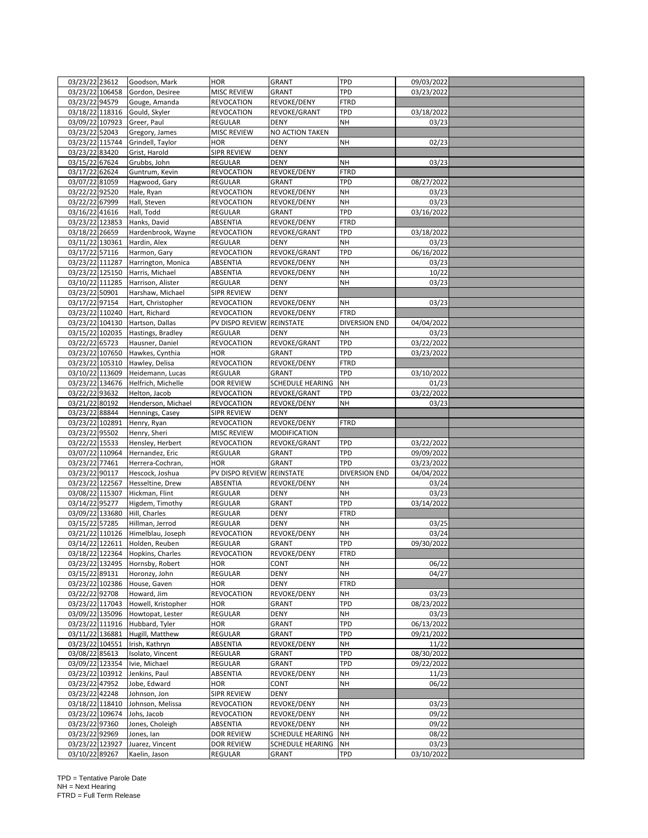| 03/23/22 23612                    |                 | Goodson, Mark                    | <b>HOR</b>                   | <b>GRANT</b>              | <b>TPD</b>       | 09/03/2022          |  |
|-----------------------------------|-----------------|----------------------------------|------------------------------|---------------------------|------------------|---------------------|--|
|                                   | 03/23/22 106458 | Gordon, Desiree                  | MISC REVIEW                  | GRANT                     | TPD              | 03/23/2022          |  |
| 03/23/22 94579                    |                 | Gouge, Amanda                    | REVOCATION                   | REVOKE/DENY               | FTRD             |                     |  |
| 03/18/22 118316                   |                 | Gould, Skyler                    | REVOCATION                   | REVOKE/GRANT              | TPD              | 03/18/2022          |  |
| 03/09/22 107923                   |                 | Greer, Paul                      | REGULAR                      | <b>DENY</b>               | <b>NH</b>        | 03/23               |  |
| 03/23/22 52043                    |                 | Gregory, James                   | MISC REVIEW                  | NO ACTION TAKEN           |                  |                     |  |
|                                   | 03/23/22 115744 | Grindell, Taylor                 | HOR                          | <b>DENY</b>               | NΗ               | 02/23               |  |
| 03/23/22 83420                    |                 | Grist, Harold                    | SIPR REVIEW                  | DENY                      |                  |                     |  |
| 03/15/22 67624                    |                 | Grubbs, John                     | REGULAR                      | <b>DENY</b>               | NΗ               | 03/23               |  |
| 03/17/22 62624                    |                 | Guntrum, Kevin                   | REVOCATION                   | REVOKE/DENY               | FTRD             |                     |  |
| 03/07/22 81059                    |                 | Hagwood, Gary                    | REGULAR                      | <b>GRANT</b>              | TPD              | 08/27/2022          |  |
| 03/22/22 92520                    |                 | Hale, Ryan                       | REVOCATION                   | REVOKE/DENY               | NΗ               | 03/23               |  |
|                                   |                 |                                  |                              |                           |                  |                     |  |
| 03/22/22 67999                    |                 | Hall, Steven                     | REVOCATION                   | REVOKE/DENY               | NΗ<br>TPD        | 03/23               |  |
| 03/16/22 41616                    |                 | Hall, Todd                       | REGULAR                      | <b>GRANT</b>              |                  | 03/16/2022          |  |
| 03/23/22 123853                   |                 | Hanks, David                     | ABSENTIA                     | REVOKE/DENY               | FTRD             |                     |  |
| 03/18/22 26659                    |                 | Hardenbrook, Wayne               | <b>REVOCATION</b>            | REVOKE/GRANT              | TPD              | 03/18/2022          |  |
| 03/11/22 130361                   |                 | Hardin, Alex                     | REGULAR                      | <b>DENY</b>               | NH               | 03/23               |  |
| 03/17/22 57116                    |                 | Harmon, Gary                     | REVOCATION                   | REVOKE/GRANT              | TPD              | 06/16/2022          |  |
| 03/23/22 111287                   |                 | Harrington, Monica               | ABSENTIA                     | REVOKE/DENY               | NΗ               | 03/23               |  |
| 03/23/22 125150                   |                 | Harris, Michael                  | ABSENTIA                     | REVOKE/DENY               | NΗ               | 10/22               |  |
| 03/10/22 111285                   |                 | Harrison, Alister                | REGULAR                      | DENY                      | NΗ               | 03/23               |  |
| 03/23/22 50901                    |                 | Harshaw, Michael                 | SIPR REVIEW                  | DENY                      |                  |                     |  |
| 03/17/22 97154                    |                 | Hart, Christopher                | REVOCATION                   | REVOKE/DENY               | NΗ               | 03/23               |  |
| 03/23/22 110240                   |                 | Hart, Richard                    | REVOCATION                   | REVOKE/DENY               | <b>FTRD</b>      |                     |  |
| 03/23/22 104130                   |                 | Hartson, Dallas                  | PV DISPO REVIEW              | REINSTATE                 | DIVERSION END    | 04/04/2022          |  |
|                                   | 03/15/22 102035 | Hastings, Bradley                | REGULAR                      | <b>DENY</b>               | NH               | 03/23               |  |
| 03/22/22 65723                    |                 | Hausner, Daniel                  | <b>REVOCATION</b>            | REVOKE/GRANT              | TPD              | 03/22/2022          |  |
| 03/23/22 107650                   |                 | Hawkes, Cynthia                  | <b>HOR</b>                   | GRANT                     | TPD              | 03/23/2022          |  |
| 03/23/22 105310                   |                 | Hawley, Delisa                   | <b>REVOCATION</b>            | REVOKE/DENY               | FTRD             |                     |  |
| 03/10/22 113609                   |                 | Heidemann, Lucas                 | REGULAR                      | GRANT                     | TPD              | 03/10/2022          |  |
| 03/23/22 134676                   |                 | Helfrich, Michelle               | DOR REVIEW                   | <b>SCHEDULE HEARING</b>   | <b>NH</b>        | 01/23               |  |
| 03/22/22 93632                    |                 | Helton, Jacob                    | <b>REVOCATION</b>            | REVOKE/GRANT              | TPD              | 03/22/2022          |  |
| 03/21/22 80192                    |                 | Henderson, Michael               | REVOCATION                   | REVOKE/DENY               | NH               | 03/23               |  |
| 03/23/22 88844                    |                 | Hennings, Casey                  | SIPR REVIEW                  | DENY                      |                  |                     |  |
|                                   |                 |                                  |                              |                           |                  |                     |  |
|                                   |                 |                                  |                              |                           |                  |                     |  |
| 03/23/22 102891                   |                 | Henry, Ryan                      | REVOCATION                   | REVOKE/DENY               | FTRD             |                     |  |
| 03/23/22 95502                    |                 | Henry, Sheri                     | MISC REVIEW                  | MODIFICATION              |                  |                     |  |
| 03/22/22 15533                    |                 | Hensley, Herbert                 | REVOCATION                   | REVOKE/GRANT              | TPD              | 03/22/2022          |  |
| 03/07/22 110964                   |                 | Hernandez, Eric                  | REGULAR                      | GRANT                     | TPD              | 09/09/2022          |  |
| 03/23/22 77461                    |                 | Herrera-Cochran,                 | HOR                          | GRANT                     | TPD              | 03/23/2022          |  |
| 03/23/22 90117                    |                 | Hescock, Joshua                  | PV DISPO REVIEW              | REINSTATE                 | DIVERSION END    | 04/04/2022          |  |
| 03/23/22 122567                   |                 | Hesseltine, Drew                 | ABSENTIA                     | REVOKE/DENY               | NΗ               | 03/24               |  |
| 03/08/22 115307                   |                 | Hickman, Flint                   | REGULAR                      | <b>DENY</b>               | NΗ               | 03/23               |  |
| 03/14/22 95277                    |                 | Higdem, Timothy                  | REGULAR                      | GRANT                     | TPD              | 03/14/2022          |  |
| 03/09/22 133680                   |                 | Hill, Charles                    | REGULAR                      | <b>DENY</b>               | <b>FTRD</b>      |                     |  |
| 03/15/22 57285                    |                 | Hillman, Jerrod                  | REGULAR                      | <b>DENY</b>               | NΗ               | 03/25               |  |
| 03/21/22 110126                   |                 | Himelblau, Joseph                | REVOCATION                   | REVOKE/DENY               | NΗ               | 03/24               |  |
| 03/14/22 122611                   |                 | Holden, Reuben                   | REGULAR                      | GRANT                     | TPD              | 09/30/2022          |  |
|                                   |                 | 03/18/22 122364 Hopkins, Charles | REVOCATION                   | REVOKE/DENY               | <b>FTRD</b>      |                     |  |
|                                   |                 | 03/23/22 132495 Hornsby, Robert  | HOR                          | CONT                      | <b>NH</b>        | 06/22               |  |
| 03/15/22 89131                    |                 | Horonzy, John                    | REGULAR                      | DENY                      | NH               | 04/27               |  |
| 03/23/22 102386                   |                 | House, Gaven                     | HOR                          | DENY                      | FTRD             |                     |  |
| 03/22/22 92708                    |                 | Howard, Jim                      | REVOCATION                   | REVOKE/DENY               | NΗ               | 03/23               |  |
| 03/23/22 117043                   |                 | Howell, Kristopher               | <b>HOR</b>                   | GRANT                     | TPD              | 08/23/2022          |  |
|                                   | 03/09/22 135096 | Howtopat, Lester                 | REGULAR                      | DENY                      | NH               | 03/23               |  |
| 03/23/22 111916                   |                 | Hubbard, Tyler                   | HOR                          | GRANT                     | TPD              | 06/13/2022          |  |
| 03/11/22 136881                   |                 | Hugill, Matthew                  | REGULAR                      | GRANT                     | TPD              | 09/21/2022          |  |
| 03/23/22 104551                   |                 | Irish, Kathryn                   | ABSENTIA                     | REVOKE/DENY               | NΗ               | 11/22               |  |
| 03/08/22 85613                    |                 | Isolato, Vincent                 | REGULAR                      | GRANT                     | TPD              | 08/30/2022          |  |
|                                   | 03/09/22 123354 | Ivie, Michael                    | REGULAR                      | GRANT                     | TPD              | 09/22/2022          |  |
| 03/23/22 103912                   |                 | Jenkins, Paul                    | ABSENTIA                     | REVOKE/DENY               | NΗ               | 11/23               |  |
|                                   |                 | Jobe, Edward                     | HOR                          | CONT                      | <b>NH</b>        | 06/22               |  |
| 03/23/22 47952                    |                 | Johnson, Jon                     | SIPR REVIEW                  | <b>DENY</b>               |                  |                     |  |
| 03/23/22 42248                    |                 |                                  |                              |                           |                  |                     |  |
| 03/18/22 118410                   |                 | Johnson, Melissa                 | REVOCATION                   | REVOKE/DENY               | NΗ               | 03/23               |  |
| 03/23/22 109674                   |                 | Johs, Jacob                      | <b>REVOCATION</b>            | REVOKE/DENY               | NΗ               | 09/22               |  |
| 03/23/22 97360                    |                 | Jones, Choleigh                  | ABSENTIA                     | REVOKE/DENY               | <b>NH</b>        | 09/22               |  |
| 03/23/22 92969                    |                 | Jones, lan                       | DOR REVIEW                   | SCHEDULE HEARING          | <b>NH</b>        | 08/22               |  |
| 03/23/22 123927<br>03/10/22 89267 |                 | Juarez, Vincent<br>Kaelin, Jason | <b>DOR REVIEW</b><br>REGULAR | SCHEDULE HEARING<br>GRANT | <b>NH</b><br>TPD | 03/23<br>03/10/2022 |  |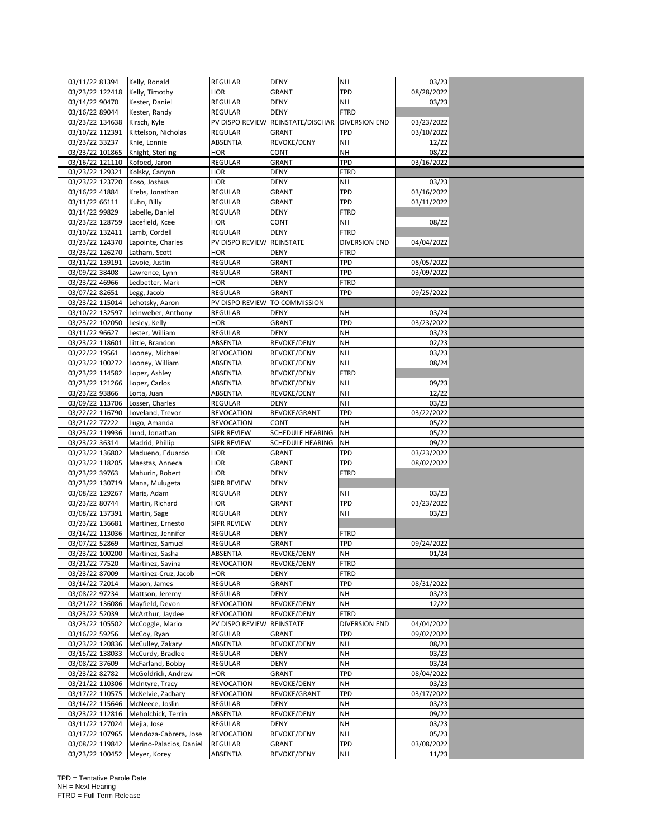| 03/11/22 81394 |                                    | Kelly, Ronald           | <b>REGULAR</b>     | <b>DENY</b>             | <b>NH</b>            | 03/23               |  |
|----------------|------------------------------------|-------------------------|--------------------|-------------------------|----------------------|---------------------|--|
|                | 03/23/22 122418                    | Kelly, Timothy          | HOR                | GRANT                   | TPD                  | 08/28/2022          |  |
| 03/14/22 90470 |                                    | Kester, Daniel          | REGULAR            | DENY                    | NΗ                   | 03/23               |  |
| 03/16/22 89044 |                                    | Kester, Randy           | REGULAR            | <b>DENY</b>             | <b>FTRD</b>          |                     |  |
|                | 03/23/22 134638                    | Kirsch, Kyle            | PV DISPO REVIEW    | REINSTATE/DISCHAR       | <b>DIVERSION END</b> | 03/23/2022          |  |
|                |                                    |                         |                    |                         |                      |                     |  |
|                | 03/10/22 112391                    | Kittelson, Nicholas     | REGULAR            | GRANT                   | TPD                  | 03/10/2022          |  |
| 03/23/22 33237 |                                    | Knie, Lonnie            | ABSENTIA           | REVOKE/DENY             | NΗ                   | 12/22               |  |
|                | 03/23/22 101865                    | Knight, Sterling        | HOR                | CONT                    | NΗ                   | 08/22               |  |
|                | 03/16/22 121110                    | Kofoed, Jaron           | REGULAR            | GRANT                   | TPD                  | 03/16/2022          |  |
|                | 03/23/22 129321                    | Kolsky, Canyon          | HOR                | DENY                    | FTRD                 |                     |  |
|                | 03/23/22 123720                    | Koso, Joshua            | <b>HOR</b>         | <b>DENY</b>             | NΗ                   | 03/23               |  |
| 03/16/22 41884 |                                    | Krebs, Jonathan         | REGULAR            | GRANT                   | TPD                  | 03/16/2022          |  |
| 03/11/22 66111 |                                    | Kuhn, Billy             | REGULAR            | GRANT                   | TPD                  | 03/11/2022          |  |
| 03/14/22 99829 |                                    | Labelle, Daniel         | REGULAR            | <b>DENY</b>             | FTRD                 |                     |  |
|                |                                    |                         |                    |                         |                      |                     |  |
|                | 03/23/22 128759                    | Lacefield, Kcee         | HOR                | CONT                    | NΗ                   | 08/22               |  |
|                | 03/10/22 132411                    | Lamb, Cordell           | REGULAR            | <b>DENY</b>             | <b>FTRD</b>          |                     |  |
|                | 03/23/22 124370                    | Lapointe, Charles       | PV DISPO REVIEW    | REINSTATE               | DIVERSION END        | 04/04/2022          |  |
|                | 03/23/22 126270                    | Latham, Scott           | HOR                | <b>DENY</b>             | <b>FTRD</b>          |                     |  |
|                | 03/11/22 139191                    | Lavoie, Justin          | <b>REGULAR</b>     | GRANT                   | TPD                  | 08/05/2022          |  |
| 03/09/22 38408 |                                    | Lawrence, Lynn          | REGULAR            | GRANT                   | TPD                  | 03/09/2022          |  |
| 03/23/22 46966 |                                    | Ledbetter, Mark         | HOR                | DENY                    | FTRD                 |                     |  |
| 03/07/22 82651 |                                    | Legg, Jacob             | REGULAR            | GRANT                   | TPD                  | 09/25/2022          |  |
|                | 03/23/22 115014                    | Lehotsky, Aaron         | PV DISPO REVIEW    | TO COMMISSION           |                      |                     |  |
|                |                                    |                         |                    |                         |                      |                     |  |
|                | 03/10/22 132597                    | Leinweber, Anthony      | REGULAR            | <b>DENY</b>             | NΗ                   | 03/24               |  |
|                | 03/23/22 102050                    | Lesley, Kelly           | HOR                | GRANT                   | TPD                  | 03/23/2022          |  |
| 03/11/22 96627 |                                    | Lester, William         | REGULAR            | DENY                    | <b>NH</b>            | 03/23               |  |
|                | 03/23/22 118601                    | Little, Brandon         | ABSENTIA           | REVOKE/DENY             | NΗ                   | 02/23               |  |
| 03/22/22 19561 |                                    | Looney, Michael         | REVOCATION         | REVOKE/DENY             | NΗ                   | 03/23               |  |
|                | 03/23/22 100272                    | Looney, William         | ABSENTIA           | REVOKE/DENY             | NH                   | 08/24               |  |
|                | 03/23/22 114582                    | Lopez, Ashley           | ABSENTIA           | REVOKE/DENY             | <b>FTRD</b>          |                     |  |
|                | 03/23/22 121266                    | Lopez, Carlos           | ABSENTIA           | REVOKE/DENY             | NΗ                   | 09/23               |  |
| 03/23/22 93866 |                                    | Lorta, Juan             | ABSENTIA           | REVOKE/DENY             | NH                   | 12/22               |  |
|                | 03/09/22 113706                    |                         |                    |                         |                      |                     |  |
|                |                                    | Losser, Charles         | REGULAR            | DENY                    | <b>NH</b>            | 03/23               |  |
|                | 03/22/22 116790                    | Loveland, Trevor        | REVOCATION         | REVOKE/GRANT            | TPD                  | 03/22/2022          |  |
| 03/21/22 77222 |                                    | Lugo, Amanda            | REVOCATION         | <b>CONT</b>             | <b>NH</b>            | 05/22               |  |
|                | 03/23/22 119936                    | Lund, Jonathan          | SIPR REVIEW        | <b>SCHEDULE HEARING</b> | <b>NH</b>            | 05/22               |  |
| 03/23/22 36314 |                                    | Madrid, Phillip         | SIPR REVIEW        | SCHEDULE HEARING        | <b>NH</b>            | 09/22               |  |
|                |                                    |                         |                    |                         |                      |                     |  |
|                | 03/23/22 136802                    | Madueno, Eduardo        | HOR                | GRANT                   | TPD                  |                     |  |
|                |                                    |                         |                    |                         |                      | 03/23/2022          |  |
|                | 03/23/22 118205                    | Maestas, Anneca         | HOR                | GRANT                   | TPD                  | 08/02/2022          |  |
| 03/23/22 39763 |                                    | Mahurin, Robert         | HOR                | DENY                    | FTRD                 |                     |  |
|                | 03/23/22 130719                    | Mana, Mulugeta          | SIPR REVIEW        | DENY                    |                      |                     |  |
|                | 03/08/22 129267                    | Maris, Adam             | REGULAR            | <b>DENY</b>             | NΗ                   | 03/23               |  |
| 03/23/22 80744 |                                    | Martin, Richard         | HOR                | GRANT                   | TPD                  | 03/23/2022          |  |
|                | 03/08/22 137391                    | Martin, Sage            | REGULAR            | <b>DENY</b>             | <b>NH</b>            | 03/23               |  |
|                | 03/23/22 136681                    | Martinez, Ernesto       | <b>SIPR REVIEW</b> | <b>DENY</b>             |                      |                     |  |
|                | 03/14/22 113036                    | Martinez, Jennifer      | REGULAR            | DENY                    | FTRD                 |                     |  |
| 03/07/22 52869 |                                    | Martinez, Samuel        | REGULAR            | GRANT                   | TPD                  | 09/24/2022          |  |
|                | 03/23/22 100200                    | Martinez, Sasha         | ABSENTIA           | REVOKE/DENY             | NH                   | 01/24               |  |
|                |                                    |                         |                    |                         |                      |                     |  |
| 03/21/22 77520 |                                    | Martinez, Savina        | <b>REVOCATION</b>  | REVOKE/DENY             | FTRD                 |                     |  |
| 03/23/22 87009 |                                    | Martinez-Cruz, Jacob    | HOR                | <b>DENY</b>             | FTRD                 |                     |  |
| 03/14/22 72014 |                                    | Mason, James            | REGULAR            | GRANT                   | TPD                  | 08/31/2022          |  |
| 03/08/22 97234 |                                    | Mattson, Jeremy         | REGULAR            | DENY                    | NΗ                   | 03/23               |  |
|                | 03/21/22 136086                    | Mayfield, Devon         | REVOCATION         | REVOKE/DENY             | NΗ                   | 12/22               |  |
| 03/23/22 52039 |                                    | McArthur, Jaydee        | REVOCATION         | REVOKE/DENY             | FTRD                 |                     |  |
|                | 03/23/22 105502                    | McCoggle, Mario         | PV DISPO REVIEW    | REINSTATE               | <b>DIVERSION END</b> | 04/04/2022          |  |
| 03/16/22 59256 |                                    | McCoy, Ryan             | REGULAR            | GRANT                   | TPD                  | 09/02/2022          |  |
|                | 03/23/22 120836                    | McCulley, Zakary        | ABSENTIA           | REVOKE/DENY             | <b>NH</b>            | 08/23               |  |
|                |                                    |                         |                    |                         |                      |                     |  |
|                | 03/15/22 138033                    | McCurdy, Bradlee        | REGULAR            | DENY                    | NΗ                   | 03/23               |  |
| 03/08/22 37609 |                                    | McFarland, Bobby        | REGULAR            | DENY                    | NΗ                   | 03/24               |  |
| 03/23/22 82782 |                                    | McGoldrick, Andrew      | HOR                | GRANT                   | TPD                  | 08/04/2022          |  |
|                | 03/21/22 110306                    | McIntyre, Tracy         | <b>REVOCATION</b>  | REVOKE/DENY             | NH                   | 03/23               |  |
|                | 03/17/22 110575                    | McKelvie, Zachary       | REVOCATION         | REVOKE/GRANT            | TPD                  | 03/17/2022          |  |
|                | 03/14/22 115646                    | McNeece, Joslin         | REGULAR            | DENY                    | NΗ                   | 03/23               |  |
|                | 03/23/22 112816                    | Meholchick, Terrin      | ABSENTIA           | REVOKE/DENY             | NH                   | 09/22               |  |
|                | 03/11/22 127024                    | Mejia, Jose             | REGULAR            | DENY                    | NΗ                   | 03/23               |  |
|                | 03/17/22 107965                    | Mendoza-Cabrera, Jose   | <b>REVOCATION</b>  | REVOKE/DENY             | NΗ                   | 05/23               |  |
|                |                                    | Merino-Palacios, Daniel | <b>REGULAR</b>     | GRANT                   | TPD                  |                     |  |
|                | 03/08/22 119842<br>03/23/22 100452 | Meyer, Korey            | ABSENTIA           | REVOKE/DENY             | NΗ                   | 03/08/2022<br>11/23 |  |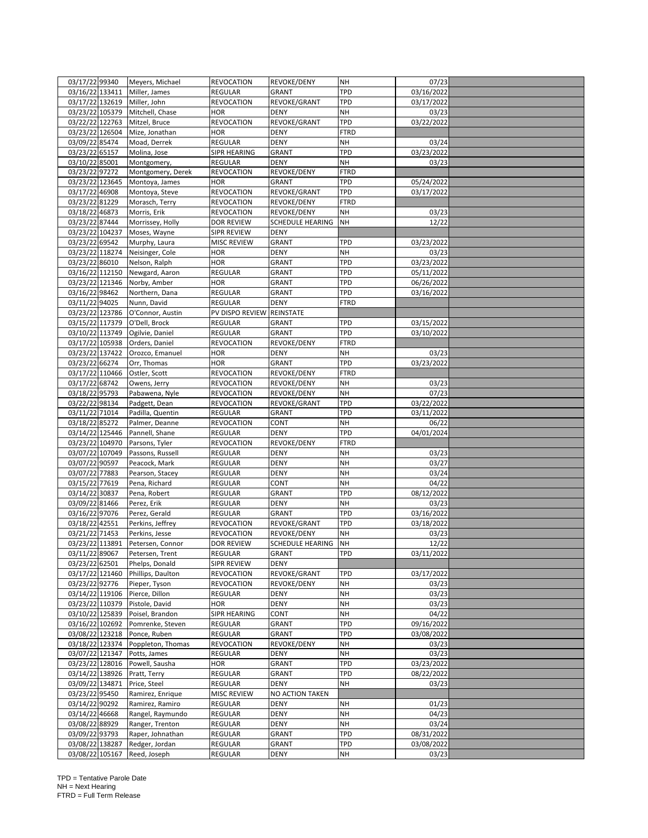| 03/17/22 99340  |                 | Meyers, Michael                 | <b>REVOCATION</b>   | REVOKE/DENY             | <b>NH</b>   | 07/23      |  |
|-----------------|-----------------|---------------------------------|---------------------|-------------------------|-------------|------------|--|
| 03/16/22 133411 |                 | Miller, James                   | <b>REGULAR</b>      | <b>GRANT</b>            | TPD         | 03/16/2022 |  |
| 03/17/22 132619 |                 | Miller, John                    | <b>REVOCATION</b>   | REVOKE/GRANT            | TPD         | 03/17/2022 |  |
|                 |                 | 03/23/22 105379 Mitchell, Chase | <b>HOR</b>          | <b>DENY</b>             | <b>NH</b>   | 03/23      |  |
| 03/22/22 122763 |                 | Mitzel, Bruce                   | <b>REVOCATION</b>   | REVOKE/GRANT            | <b>TPD</b>  | 03/22/2022 |  |
| 03/23/22 126504 |                 | Mize, Jonathan                  | <b>HOR</b>          | <b>DENY</b>             | <b>FTRD</b> |            |  |
| 03/09/22 85474  |                 | Moad, Derrek                    | REGULAR             | <b>DENY</b>             | <b>NH</b>   | 03/24      |  |
| 03/23/22 65157  |                 | Molina, Jose                    | <b>SIPR HEARING</b> | <b>GRANT</b>            | TPD         | 03/23/2022 |  |
| 03/10/22 85001  |                 |                                 |                     | DENY                    | <b>NH</b>   | 03/23      |  |
|                 |                 | Montgomery,                     | REGULAR             |                         |             |            |  |
| 03/23/22 97272  |                 | Montgomery, Derek               | <b>REVOCATION</b>   | REVOKE/DENY             | <b>FTRD</b> |            |  |
| 03/23/22 123645 |                 | Montoya, James                  | <b>HOR</b>          | <b>GRANT</b>            | TPD         | 05/24/2022 |  |
| 03/17/22 46908  |                 | Montoya, Steve                  | <b>REVOCATION</b>   | REVOKE/GRANT            | <b>TPD</b>  | 03/17/2022 |  |
| 03/23/22 81229  |                 | Morasch, Terry                  | <b>REVOCATION</b>   | REVOKE/DENY             | <b>FTRD</b> |            |  |
| 03/18/22 46873  |                 | Morris, Erik                    | <b>REVOCATION</b>   | REVOKE/DENY             | NH          | 03/23      |  |
| 03/23/22 87444  |                 | Morrissey, Holly                | <b>DOR REVIEW</b>   | SCHEDULE HEARING        | <b>NH</b>   | 12/22      |  |
| 03/23/22 104237 |                 | Moses, Wayne                    | SIPR REVIEW         | <b>DENY</b>             |             |            |  |
| 03/23/22 69542  |                 | Murphy, Laura                   | <b>MISC REVIEW</b>  | <b>GRANT</b>            | TPD         | 03/23/2022 |  |
| 03/23/22 118274 |                 | Neisinger, Cole                 | <b>HOR</b>          | <b>DENY</b>             | NH          | 03/23      |  |
| 03/23/22 86010  |                 | Nelson, Ralph                   | <b>HOR</b>          | <b>GRANT</b>            | <b>TPD</b>  | 03/23/2022 |  |
| 03/16/22 112150 |                 | Newgard, Aaron                  | REGULAR             | GRANT                   | TPD         | 05/11/2022 |  |
| 03/23/22 121346 |                 | Norby, Amber                    | <b>HOR</b>          | <b>GRANT</b>            | TPD         | 06/26/2022 |  |
| 03/16/22 98462  |                 | Northern, Dana                  | REGULAR             | GRANT                   | TPD         | 03/16/2022 |  |
| 03/11/22 94025  |                 | Nunn, David                     | REGULAR             | <b>DENY</b>             | <b>FTRD</b> |            |  |
|                 |                 |                                 |                     |                         |             |            |  |
| 03/23/22 123786 |                 | O'Connor, Austin                | PV DISPO REVIEW     | REINSTATE               |             |            |  |
| 03/15/22 117379 |                 | O'Dell, Brock                   | REGULAR             | <b>GRANT</b>            | <b>TPD</b>  | 03/15/2022 |  |
| 03/10/22 113749 |                 | Ogilvie, Daniel                 | <b>REGULAR</b>      | GRANT                   | TPD         | 03/10/2022 |  |
| 03/17/22 105938 |                 | Orders, Daniel                  | REVOCATION          | REVOKE/DENY             | FTRD        |            |  |
| 03/23/22 137422 |                 | Orozco, Emanuel                 | <b>HOR</b>          | <b>DENY</b>             | NH          | 03/23      |  |
| 03/23/22 66274  |                 | Orr, Thomas                     | <b>HOR</b>          | <b>GRANT</b>            | TPD         | 03/23/2022 |  |
| 03/17/22 110466 |                 | Ostler, Scott                   | <b>REVOCATION</b>   | REVOKE/DENY             | <b>FTRD</b> |            |  |
| 03/17/22 68742  |                 | Owens, Jerry                    | <b>REVOCATION</b>   | REVOKE/DENY             | <b>NH</b>   | 03/23      |  |
| 03/18/22 95793  |                 | Pabawena, Nyle                  | REVOCATION          | REVOKE/DENY             | <b>NH</b>   | 07/23      |  |
| 03/22/22 98134  |                 | Padgett, Dean                   | <b>REVOCATION</b>   | REVOKE/GRANT            | TPD         | 03/22/2022 |  |
| 03/11/22 71014  |                 | Padilla, Quentin                | <b>REGULAR</b>      | <b>GRANT</b>            | TPD         | 03/11/2022 |  |
| 03/18/22 85272  |                 | Palmer, Deanne                  | <b>REVOCATION</b>   | <b>CONT</b>             | NH          | 06/22      |  |
| 03/14/22 125446 |                 | Pannell, Shane                  | <b>REGULAR</b>      | <b>DENY</b>             | <b>TPD</b>  | 04/01/2024 |  |
| 03/23/22 104970 |                 | Parsons, Tyler                  | <b>REVOCATION</b>   | REVOKE/DENY             | <b>FTRD</b> |            |  |
|                 |                 |                                 |                     |                         |             |            |  |
| 03/07/22 107049 |                 | Passons, Russell                | <b>REGULAR</b>      | <b>DENY</b>             | <b>NH</b>   | 03/23      |  |
| 03/07/22 90597  |                 | Peacock, Mark                   | REGULAR             | <b>DENY</b>             | <b>NH</b>   | 03/27      |  |
| 03/07/22 77883  |                 | Pearson, Stacey                 | REGULAR             | <b>DENY</b>             | <b>NH</b>   | 03/24      |  |
| 03/15/22 77619  |                 | Pena, Richard                   | REGULAR             | CONT                    | NH          | 04/22      |  |
| 03/14/22 30837  |                 | Pena, Robert                    | <b>REGULAR</b>      | GRANT                   | TPD         | 08/12/2022 |  |
| 03/09/22 81466  |                 | Perez, Erik                     | <b>REGULAR</b>      | <b>DENY</b>             | <b>NH</b>   | 03/23      |  |
| 03/16/22 97076  |                 | Perez, Gerald                   | REGULAR             | <b>GRANT</b>            | TPD         | 03/16/2022 |  |
| 03/18/22 42551  |                 | Perkins, Jeffrey                | <b>REVOCATION</b>   | REVOKE/GRANT            | TPD         | 03/18/2022 |  |
| 03/21/22 71453  |                 | Perkins, Jesse                  | <b>REVOCATION</b>   | REVOKE/DENY             | NΗ          | 03/23      |  |
| 03/23/22 113891 |                 | Petersen, Connor                | <b>DOR REVIEW</b>   | <b>SCHEDULE HEARING</b> | <b>NH</b>   | 12/22      |  |
| 03/11/22 89067  |                 | Petersen, Trent                 | REGULAR             | GRANT                   | TPD         | 03/11/2022 |  |
| 03/23/22 62501  |                 | Phelps, Donald                  | <b>SIPR REVIEW</b>  | <b>DENY</b>             |             |            |  |
| 03/17/22 121460 |                 | Phillips, Daulton               | <b>REVOCATION</b>   | REVOKE/GRANT            | <b>TPD</b>  | 03/17/2022 |  |
| 03/23/22 92776  |                 | Pieper, Tyson                   | <b>REVOCATION</b>   | REVOKE/DENY             | <b>NH</b>   | 03/23      |  |
|                 |                 |                                 |                     |                         |             |            |  |
| 03/14/22 119106 |                 | Pierce, Dillon                  | <b>REGULAR</b>      | <b>DENY</b>             | <b>NH</b>   | 03/23      |  |
| 03/23/22 110379 |                 | Pistole, David                  | <b>HOR</b>          | <b>DENY</b>             | <b>NH</b>   | 03/23      |  |
|                 | 03/10/22 125839 | Poisel, Brandon                 | SIPR HEARING        | CONT                    | <b>NH</b>   | 04/22      |  |
| 03/16/22 102692 |                 | Pomrenke, Steven                | <b>REGULAR</b>      | <b>GRANT</b>            | <b>TPD</b>  | 09/16/2022 |  |
| 03/08/22 123218 |                 | Ponce, Ruben                    | <b>REGULAR</b>      | GRANT                   | TPD         | 03/08/2022 |  |
|                 | 03/18/22 123374 | Poppleton, Thomas               | <b>REVOCATION</b>   | REVOKE/DENY             | <b>NH</b>   | 03/23      |  |
| 03/07/22 121347 |                 | Potts, James                    | REGULAR             | DENY                    | <b>NH</b>   | 03/23      |  |
| 03/23/22 128016 |                 | Powell, Sausha                  | <b>HOR</b>          | GRANT                   | TPD         | 03/23/2022 |  |
| 03/14/22 138926 |                 | Pratt, Terry                    | <b>REGULAR</b>      | GRANT                   | <b>TPD</b>  | 08/22/2022 |  |
| 03/09/22 134871 |                 | Price, Steel                    | <b>REGULAR</b>      | <b>DENY</b>             | <b>NH</b>   | 03/23      |  |
| 03/23/22 95450  |                 | Ramirez, Enrique                | MISC REVIEW         | NO ACTION TAKEN         |             |            |  |
| 03/14/22 90292  |                 | Ramirez, Ramiro                 | REGULAR             | <b>DENY</b>             | <b>NH</b>   | 01/23      |  |
| 03/14/22 46668  |                 | Rangel, Raymundo                | <b>REGULAR</b>      | <b>DENY</b>             | <b>NH</b>   | 04/23      |  |
| 03/08/22 88929  |                 | Ranger, Trenton                 | REGULAR             | <b>DENY</b>             | <b>NH</b>   | 03/24      |  |
|                 |                 |                                 |                     |                         |             |            |  |
| 03/09/22 93793  |                 | Raper, Johnathan                | REGULAR             | <b>GRANT</b>            | TPD         | 08/31/2022 |  |
| 03/08/22 138287 |                 | Redger, Jordan                  | REGULAR             | GRANT                   | <b>TPD</b>  | 03/08/2022 |  |
| 03/08/22 105167 |                 | Reed, Joseph                    | REGULAR             | <b>DENY</b>             | <b>NH</b>   | 03/23      |  |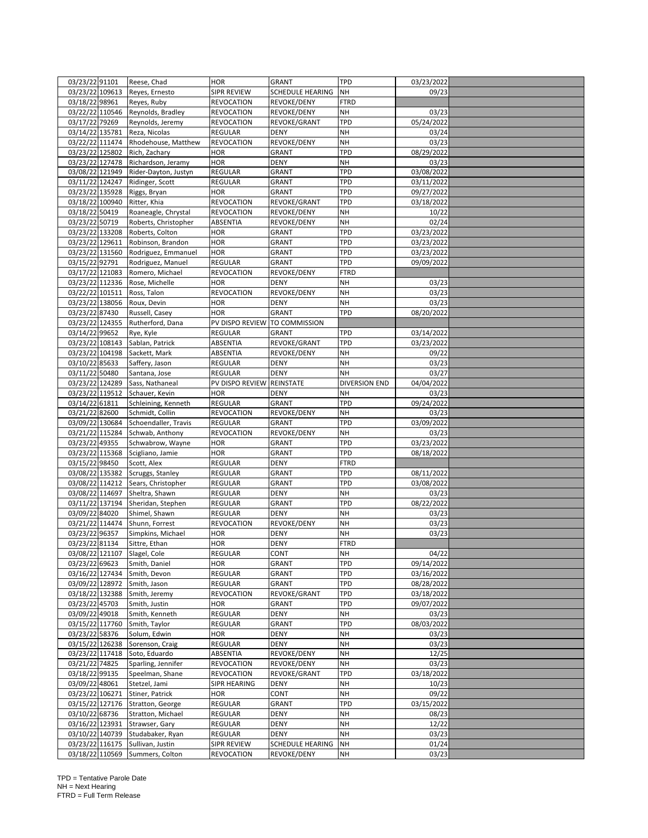| 03/23/22 91101                     |                 | Reese, Chad                         | <b>HOR</b>                       | <b>GRANT</b>                           | <b>TPD</b>             | 03/23/2022     |  |
|------------------------------------|-----------------|-------------------------------------|----------------------------------|----------------------------------------|------------------------|----------------|--|
| 03/23/22 109613                    |                 | Reyes, Ernesto                      | SIPR REVIEW                      | SCHEDULE HEARING                       | <b>NH</b>              | 09/23          |  |
| 03/18/22 98961                     |                 | Reyes, Ruby                         | <b>REVOCATION</b>                | REVOKE/DENY                            | <b>FTRD</b>            |                |  |
| 03/22/22 110546                    |                 | Reynolds, Bradley                   | <b>REVOCATION</b>                | REVOKE/DENY                            | <b>NH</b>              | 03/23          |  |
| 03/17/22 79269                     |                 | Reynolds, Jeremy                    | <b>REVOCATION</b>                | REVOKE/GRANT                           | <b>TPD</b>             | 05/24/2022     |  |
| 03/14/22 135781                    |                 | Reza, Nicolas                       | <b>REGULAR</b>                   | <b>DENY</b>                            | <b>NH</b>              | 03/24          |  |
| 03/22/22 111474                    |                 | Rhodehouse, Matthew                 | <b>REVOCATION</b>                | REVOKE/DENY                            | <b>NH</b>              | 03/23          |  |
| 03/23/22 125802                    |                 | Rich, Zachary                       | <b>HOR</b>                       | <b>GRANT</b>                           | TPD                    | 08/29/2022     |  |
| 03/23/22 127478                    |                 | Richardson, Jeramy                  | <b>HOR</b>                       | <b>DENY</b>                            | <b>NH</b>              | 03/23          |  |
| 03/08/22 121949                    |                 | Rider-Dayton, Justyn                | <b>REGULAR</b>                   | GRANT                                  | TPD                    | 03/08/2022     |  |
| 03/11/22 124247                    |                 | Ridinger, Scott                     | REGULAR                          | GRANT                                  | TPD                    | 03/11/2022     |  |
| 03/23/22 135928                    |                 | Riggs, Bryan                        | <b>HOR</b>                       | <b>GRANT</b>                           | <b>TPD</b>             | 09/27/2022     |  |
| 03/18/22 100940                    |                 |                                     |                                  |                                        | TPD                    |                |  |
|                                    |                 | Ritter, Khia                        | <b>REVOCATION</b>                | REVOKE/GRANT                           |                        | 03/18/2022     |  |
| 03/18/22 50419                     |                 | Roaneagle, Chrystal                 | <b>REVOCATION</b>                | REVOKE/DENY                            | <b>NH</b>              | 10/22          |  |
| 03/23/22 50719                     |                 | Roberts, Christopher                | ABSENTIA                         | REVOKE/DENY                            | NH                     | 02/24          |  |
| 03/23/22 133208                    |                 | Roberts, Colton                     | <b>HOR</b>                       | GRANT                                  | TPD                    | 03/23/2022     |  |
| 03/23/22 129611                    |                 | Robinson, Brandon                   | <b>HOR</b>                       | GRANT                                  | TPD                    | 03/23/2022     |  |
| 03/23/22 131560                    |                 | Rodriguez, Emmanuel                 | <b>HOR</b>                       | GRANT                                  | TPD                    | 03/23/2022     |  |
| 03/15/22 92791                     |                 | Rodriguez, Manuel                   | <b>REGULAR</b>                   | <b>GRANT</b>                           | TPD                    | 09/09/2022     |  |
| 03/17/22 121083                    |                 | Romero, Michael                     | <b>REVOCATION</b>                | REVOKE/DENY                            | <b>FTRD</b>            |                |  |
| 03/23/22 112336                    |                 | Rose, Michelle                      | <b>HOR</b>                       | <b>DENY</b>                            | <b>NH</b>              | 03/23          |  |
| 03/22/22 101511                    |                 | Ross, Talon                         | <b>REVOCATION</b>                | REVOKE/DENY                            | <b>NH</b>              | 03/23          |  |
| 03/23/22 138056                    |                 | Roux, Devin                         | <b>HOR</b>                       | <b>DENY</b>                            | <b>NH</b>              | 03/23          |  |
| 03/23/22 87430                     |                 | Russell, Casey                      | <b>HOR</b>                       | <b>GRANT</b>                           | TPD                    | 08/20/2022     |  |
| 03/23/22 124355                    |                 | Rutherford, Dana                    | PV DISPO REVIEW                  | TO COMMISSION                          |                        |                |  |
| 03/14/22 99652                     |                 | Rye, Kyle                           | <b>REGULAR</b>                   | <b>GRANT</b>                           | TPD                    | 03/14/2022     |  |
| 03/23/22 108143                    |                 | Sablan, Patrick                     | ABSENTIA                         | REVOKE/GRANT                           | TPD                    | 03/23/2022     |  |
| 03/23/22 104198                    |                 | Sackett, Mark                       | ABSENTIA                         | REVOKE/DENY                            | NH                     | 09/22          |  |
| 03/10/22 85633                     |                 | Saffery, Jason                      | REGULAR                          | <b>DENY</b>                            | <b>NH</b>              | 03/23          |  |
| 03/11/22 50480                     |                 | Santana, Jose                       | <b>REGULAR</b>                   | <b>DENY</b>                            | <b>NH</b>              | 03/27          |  |
| 03/23/22 124289                    |                 | Sass, Nathaneal                     | PV DISPO REVIEW                  | REINSTATE                              | <b>DIVERSION END</b>   | 04/04/2022     |  |
| 03/23/22 119512                    |                 | Schauer, Kevin                      | <b>HOR</b>                       | DENY                                   | <b>NH</b>              | 03/23          |  |
| 03/14/22 61811                     |                 | Schleining, Kenneth                 | <b>REGULAR</b>                   | <b>GRANT</b>                           | TPD                    | 09/24/2022     |  |
| 03/21/22 82600                     |                 | Schmidt, Collin                     | <b>REVOCATION</b>                | REVOKE/DENY                            | NH                     | 03/23          |  |
| 03/09/22 130684                    |                 | Schoendaller, Travis                | <b>REGULAR</b>                   | <b>GRANT</b>                           | TPD                    | 03/09/2022     |  |
| 03/21/22 115284                    |                 | Schwab, Anthony                     | <b>REVOCATION</b>                | REVOKE/DENY                            | NH                     | 03/23          |  |
| 03/23/22 49355                     |                 | Schwabrow, Wayne                    | <b>HOR</b>                       | <b>GRANT</b>                           | TPD                    | 03/23/2022     |  |
| 03/23/22 115368                    |                 | Scigliano, Jamie                    | <b>HOR</b>                       | GRANT                                  | TPD                    | 08/18/2022     |  |
| 03/15/22 98450                     |                 | Scott, Alex                         | REGULAR                          | DENY                                   | <b>FTRD</b>            |                |  |
| 03/08/22 135382                    |                 |                                     | <b>REGULAR</b>                   | GRANT                                  | TPD                    | 08/11/2022     |  |
|                                    |                 | Scruggs, Stanley                    |                                  |                                        |                        |                |  |
| 03/08/22 114212                    |                 | Sears, Christopher                  | REGULAR                          | GRANT                                  | TPD                    |                |  |
| 03/08/22 114697                    |                 |                                     |                                  |                                        |                        | 03/08/2022     |  |
|                                    |                 | Sheltra, Shawn                      | <b>REGULAR</b>                   | <b>DENY</b>                            | <b>NH</b>              | 03/23          |  |
|                                    | 03/11/22 137194 | Sheridan, Stephen                   | <b>REGULAR</b>                   | <b>GRANT</b>                           | <b>TPD</b>             | 08/22/2022     |  |
|                                    | 03/09/22 84020  | Shimel, Shawn                       | REGULAR                          | <b>DENY</b>                            | <b>NH</b>              | 03/23          |  |
| 03/21/22 114474                    |                 | Shunn, Forrest                      | <b>REVOCATION</b>                | REVOKE/DENY                            | NH                     | 03/23          |  |
| 03/23/22 96357                     |                 | Simpkins, Michael                   | <b>HOR</b>                       | DENY                                   | NH                     | 03/23          |  |
| 03/23/22 81134                     |                 | Sittre, Ethan                       | <b>HOR</b>                       | <b>DENY</b>                            | <b>FTRD</b>            |                |  |
|                                    |                 | 03/08/22 121107 Slagel, Cole        | REGULAR                          | <b>CONT</b>                            | NН                     | 04/22          |  |
| 03/23/22 69623                     |                 | Smith, Daniel                       | <b>HOR</b>                       | <b>GRANT</b>                           | <b>TPD</b>             | 09/14/2022     |  |
| 03/16/22 127434                    |                 | Smith, Devon                        | <b>REGULAR</b>                   | GRANT                                  | TPD                    | 03/16/2022     |  |
| 03/09/22 128972                    |                 | Smith, Jason                        | REGULAR                          | GRANT                                  | TPD                    | 08/28/2022     |  |
| 03/18/22 132388                    |                 | Smith, Jeremy                       | <b>REVOCATION</b>                | REVOKE/GRANT                           | TPD                    | 03/18/2022     |  |
| 03/23/22 45703                     |                 | Smith, Justin                       | <b>HOR</b>                       | <b>GRANT</b>                           | TPD                    | 09/07/2022     |  |
| 03/09/22 49018                     |                 | Smith, Kenneth                      | <b>REGULAR</b>                   | <b>DENY</b>                            | <b>NH</b>              | 03/23          |  |
| 03/15/22 117760                    |                 | Smith, Taylor                       | <b>REGULAR</b>                   | <b>GRANT</b>                           | <b>TPD</b>             | 08/03/2022     |  |
| 03/23/22 58376                     |                 | Solum, Edwin                        | <b>HOR</b>                       | <b>DENY</b>                            | <b>NH</b>              | 03/23          |  |
| 03/15/22 126238                    |                 | Sorenson, Craig                     | REGULAR                          | <b>DENY</b>                            | <b>NH</b>              | 03/23          |  |
| 03/23/22 117418                    |                 | Soto, Eduardo                       | ABSENTIA                         | REVOKE/DENY                            | <b>NH</b>              | 12/25          |  |
| 03/21/22 74825                     |                 | Sparling, Jennifer                  | <b>REVOCATION</b>                | REVOKE/DENY                            | NH                     | 03/23          |  |
|                                    |                 | Speelman, Shane                     | <b>REVOCATION</b>                | REVOKE/GRANT                           | <b>TPD</b>             | 03/18/2022     |  |
| 03/18/22 99135<br>03/09/22 48061   |                 | Stetzel, Jami                       | <b>SIPR HEARING</b>              | <b>DENY</b>                            | <b>NH</b>              | 10/23          |  |
|                                    |                 | Stiner, Patrick                     | <b>HOR</b>                       | CONT                                   | <b>NH</b>              | 09/22          |  |
| 03/23/22 106271                    |                 |                                     |                                  |                                        |                        |                |  |
| 03/15/22 127176                    |                 | Stratton, George                    | REGULAR                          | <b>GRANT</b>                           | <b>TPD</b>             | 03/15/2022     |  |
| 03/10/22 68736                     |                 | Stratton, Michael                   | <b>REGULAR</b>                   | <b>DENY</b>                            | <b>NH</b>              | 08/23          |  |
| 03/16/22 123931                    |                 | Strawser, Gary                      | REGULAR                          | <b>DENY</b>                            | <b>NH</b>              | 12/22          |  |
|                                    |                 | 03/10/22 140739 Studabaker, Ryan    | REGULAR                          | <b>DENY</b>                            | <b>NH</b>              | 03/23          |  |
| 03/23/22 116175<br>03/18/22 110569 |                 | Sullivan, Justin<br>Summers, Colton | SIPR REVIEW<br><b>REVOCATION</b> | <b>SCHEDULE HEARING</b><br>REVOKE/DENY | <b>NH</b><br><b>NH</b> | 01/24<br>03/23 |  |